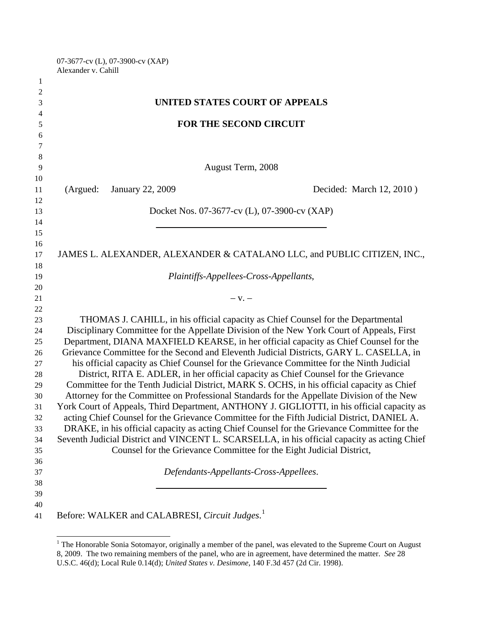07-3677-cv (L), 07-3900-cv (XAP) Alexander v. Cahill

| 1              |                                                                                              |
|----------------|----------------------------------------------------------------------------------------------|
| $\overline{2}$ |                                                                                              |
| 3              | UNITED STATES COURT OF APPEALS                                                               |
| 4              |                                                                                              |
| 5              | <b>FOR THE SECOND CIRCUIT</b>                                                                |
| 6              |                                                                                              |
| 7              |                                                                                              |
| 8              |                                                                                              |
| 9              | August Term, 2008                                                                            |
| 10             |                                                                                              |
| 11             | (Argued:<br><b>January 22, 2009</b><br>Decided: March 12, 2010)                              |
| 12             |                                                                                              |
| 13             | Docket Nos. 07-3677-cv (L), 07-3900-cv (XAP)                                                 |
| 14<br>15       |                                                                                              |
| 16             |                                                                                              |
| 17             | JAMES L. ALEXANDER, ALEXANDER & CATALANO LLC, and PUBLIC CITIZEN, INC.,                      |
| 18             |                                                                                              |
| 19             | Plaintiffs-Appellees-Cross-Appellants,                                                       |
| 20             |                                                                                              |
| 21             | $-$ V. $-$                                                                                   |
| $22\,$         |                                                                                              |
| 23             | THOMAS J. CAHILL, in his official capacity as Chief Counsel for the Departmental             |
| 24             | Disciplinary Committee for the Appellate Division of the New York Court of Appeals, First    |
| 25             | Department, DIANA MAXFIELD KEARSE, in her official capacity as Chief Counsel for the         |
| 26             | Grievance Committee for the Second and Eleventh Judicial Districts, GARY L. CASELLA, in      |
| 27             | his official capacity as Chief Counsel for the Grievance Committee for the Ninth Judicial    |
| 28             | District, RITA E. ADLER, in her official capacity as Chief Counsel for the Grievance         |
| 29             | Committee for the Tenth Judicial District, MARK S. OCHS, in his official capacity as Chief   |
| 30             | Attorney for the Committee on Professional Standards for the Appellate Division of the New   |
| 31             | York Court of Appeals, Third Department, ANTHONY J. GIGLIOTTI, in his official capacity as   |
| 32             | acting Chief Counsel for the Grievance Committee for the Fifth Judicial District, DANIEL A.  |
| 33             | DRAKE, in his official capacity as acting Chief Counsel for the Grievance Committee for the  |
| 34             | Seventh Judicial District and VINCENT L. SCARSELLA, in his official capacity as acting Chief |
| 35             | Counsel for the Grievance Committee for the Eight Judicial District,                         |
| 36             |                                                                                              |
| 37<br>38       | Defendants-Appellants-Cross-Appellees.                                                       |
| 39             |                                                                                              |
| 40             |                                                                                              |
| 41             | Before: WALKER and CALABRESI, Circuit Judges. <sup>1</sup>                                   |
|                |                                                                                              |

<span id="page-0-0"></span>The Honorable Sonia Sotomayor, originally a member of the panel, was elevated to the Supreme Court on August 8, 2009. The two remaining members of the panel, who are in agreement, have determined the matter. *See* 28 U.S.C. 46(d); Local Rule 0.14(d); *United States v. Desimone*, 140 F.3d 457 (2d Cir. 1998).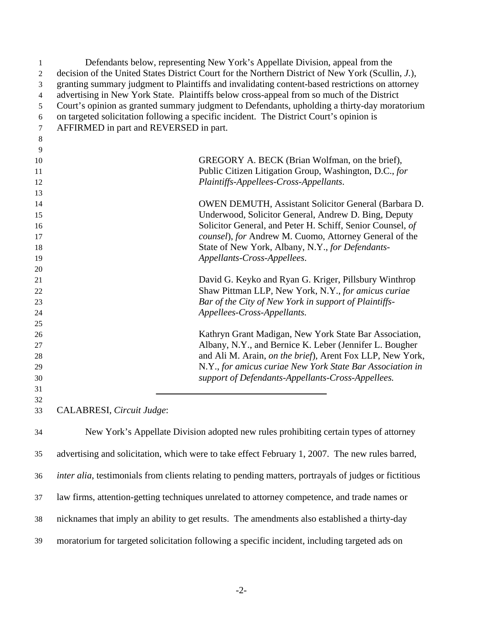| 1  | Defendants below, representing New York's Appellate Division, appeal from the                                 |
|----|---------------------------------------------------------------------------------------------------------------|
| 2  | decision of the United States District Court for the Northern District of New York (Scullin, J.),             |
| 3  | granting summary judgment to Plaintiffs and invalidating content-based restrictions on attorney               |
| 4  | advertising in New York State. Plaintiffs below cross-appeal from so much of the District                     |
| 5  | Court's opinion as granted summary judgment to Defendants, upholding a thirty-day moratorium                  |
| 6  | on targeted solicitation following a specific incident. The District Court's opinion is                       |
| 7  | AFFIRMED in part and REVERSED in part.                                                                        |
| 8  |                                                                                                               |
| 9  |                                                                                                               |
| 10 | GREGORY A. BECK (Brian Wolfman, on the brief),                                                                |
| 11 | Public Citizen Litigation Group, Washington, D.C., for                                                        |
| 12 | Plaintiffs-Appellees-Cross-Appellants.                                                                        |
| 13 |                                                                                                               |
| 14 | <b>OWEN DEMUTH, Assistant Solicitor General (Barbara D.</b>                                                   |
| 15 | Underwood, Solicitor General, Andrew D. Bing, Deputy                                                          |
| 16 | Solicitor General, and Peter H. Schiff, Senior Counsel, of                                                    |
| 17 | counsel), for Andrew M. Cuomo, Attorney General of the                                                        |
| 18 | State of New York, Albany, N.Y., for Defendants-                                                              |
| 19 | Appellants-Cross-Appellees.                                                                                   |
| 20 |                                                                                                               |
| 21 | David G. Keyko and Ryan G. Kriger, Pillsbury Winthrop                                                         |
| 22 | Shaw Pittman LLP, New York, N.Y., for amicus curiae                                                           |
| 23 | Bar of the City of New York in support of Plaintiffs-                                                         |
| 24 | Appellees-Cross-Appellants.                                                                                   |
| 25 |                                                                                                               |
| 26 | Kathryn Grant Madigan, New York State Bar Association,                                                        |
| 27 | Albany, N.Y., and Bernice K. Leber (Jennifer L. Bougher                                                       |
| 28 | and Ali M. Arain, on the brief), Arent Fox LLP, New York,                                                     |
| 29 | N.Y., for amicus curiae New York State Bar Association in                                                     |
| 30 | support of Defendants-Appellants-Cross-Appellees.                                                             |
| 31 |                                                                                                               |
| 32 |                                                                                                               |
| 33 | CALABRESI, Circuit Judge:                                                                                     |
| 34 | New York's Appellate Division adopted new rules prohibiting certain types of attorney                         |
| 35 | advertising and solicitation, which were to take effect February 1, 2007. The new rules barred,               |
| 36 | <i>inter alia</i> , testimonials from clients relating to pending matters, portrayals of judges or fictitious |
| 37 | law firms, attention-getting techniques unrelated to attorney competence, and trade names or                  |

38 nicknames that imply an ability to get results. The amendments also established a thirty-day

39 moratorium for targeted solicitation following a specific incident, including targeted ads on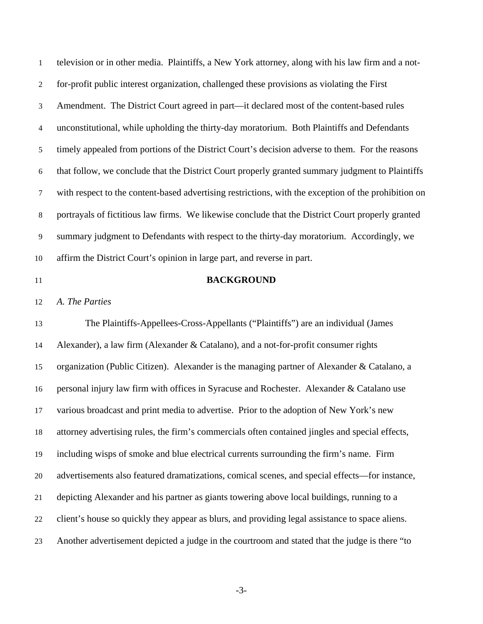television or in other media. Plaintiffs, a New York attorney, along with his law firm and a notfor-profit public interest organization, challenged these provisions as violating the First Amendment. The District Court agreed in part—it declared most of the content-based rules unconstitutional, while upholding the thirty-day moratorium. Both Plaintiffs and Defendants timely appealed from portions of the District Court's decision adverse to them. For the reasons that follow, we conclude that the District Court properly granted summary judgment to Plaintiffs with respect to the content-based advertising restrictions, with the exception of the prohibition on portrayals of fictitious law firms. We likewise conclude that the District Court properly granted summary judgment to Defendants with respect to the thirty-day moratorium. Accordingly, we affirm the District Court's opinion in large part, and reverse in part. 1 2 3 4 5 6 7 8 9 10

11

### **BACKGROUND**

12 *A. The Parties* 

13 14 15 16 17 18 19 20 21 22 23 The Plaintiffs-Appellees-Cross-Appellants ("Plaintiffs") are an individual (James Alexander), a law firm (Alexander & Catalano), and a not-for-profit consumer rights organization (Public Citizen). Alexander is the managing partner of Alexander & Catalano, a personal injury law firm with offices in Syracuse and Rochester. Alexander & Catalano use various broadcast and print media to advertise. Prior to the adoption of New York's new attorney advertising rules, the firm's commercials often contained jingles and special effects, including wisps of smoke and blue electrical currents surrounding the firm's name. Firm advertisements also featured dramatizations, comical scenes, and special effects—for instance, depicting Alexander and his partner as giants towering above local buildings, running to a client's house so quickly they appear as blurs, and providing legal assistance to space aliens. Another advertisement depicted a judge in the courtroom and stated that the judge is there "to

-3-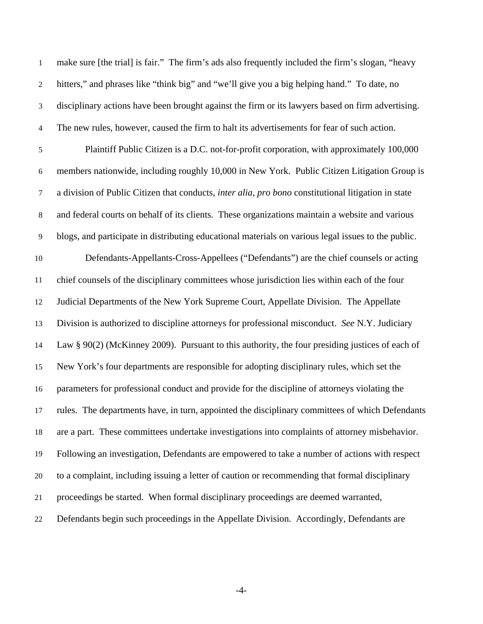make sure [the trial] is fair." The firm's ads also frequently included the firm's slogan, "heavy hitters," and phrases like "think big" and "we'll give you a big helping hand." To date, no disciplinary actions have been brought against the firm or its lawyers based on firm advertising. The new rules, however, caused the firm to halt its advertisements for fear of such action. 1 2 3 4 5 6 7 8 9 10 11 12 13 14 15 16 17 18 19 20 21 22 Plaintiff Public Citizen is a D.C. not-for-profit corporation, with approximately 100,000 members nationwide, including roughly 10,000 in New York. Public Citizen Litigation Group is a division of Public Citizen that conducts, *inter alia*, *pro bono* constitutional litigation in state and federal courts on behalf of its clients. These organizations maintain a website and various blogs, and participate in distributing educational materials on various legal issues to the public. Defendants-Appellants-Cross-Appellees ("Defendants") are the chief counsels or acting chief counsels of the disciplinary committees whose jurisdiction lies within each of the four Judicial Departments of the New York Supreme Court, Appellate Division. The Appellate Division is authorized to discipline attorneys for professional misconduct. *See* N.Y. Judiciary Law  $\S 90(2)$  (McKinney 2009). Pursuant to this authority, the four presiding justices of each of New York's four departments are responsible for adopting disciplinary rules, which set the parameters for professional conduct and provide for the discipline of attorneys violating the rules. The departments have, in turn, appointed the disciplinary committees of which Defendants are a part. These committees undertake investigations into complaints of attorney misbehavior. Following an investigation, Defendants are empowered to take a number of actions with respect to a complaint, including issuing a letter of caution or recommending that formal disciplinary proceedings be started. When formal disciplinary proceedings are deemed warranted, Defendants begin such proceedings in the Appellate Division. Accordingly, Defendants are

-4-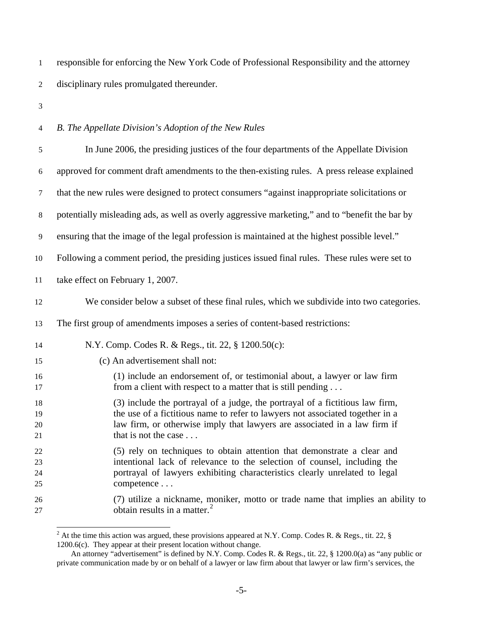responsible for enforcing the New York Code of Professional Responsibility and the attorney disciplinary rules promulgated thereunder. 1 2

3

#### 4 *B. The Appellate Division's Adoption of the New Rules*

| $\sqrt{5}$               | In June 2006, the presiding justices of the four departments of the Appellate Division                                                                                                                                                                              |
|--------------------------|---------------------------------------------------------------------------------------------------------------------------------------------------------------------------------------------------------------------------------------------------------------------|
| $\boldsymbol{6}$         | approved for comment draft amendments to the then-existing rules. A press release explained                                                                                                                                                                         |
| $\tau$                   | that the new rules were designed to protect consumers "against inappropriate solicitations or                                                                                                                                                                       |
| $\,8\,$                  | potentially misleading ads, as well as overly aggressive marketing," and to "benefit the bar by                                                                                                                                                                     |
| 9                        | ensuring that the image of the legal profession is maintained at the highest possible level."                                                                                                                                                                       |
| 10                       | Following a comment period, the presiding justices issued final rules. These rules were set to                                                                                                                                                                      |
| 11                       | take effect on February 1, 2007.                                                                                                                                                                                                                                    |
| 12                       | We consider below a subset of these final rules, which we subdivide into two categories.                                                                                                                                                                            |
| 13                       | The first group of amendments imposes a series of content-based restrictions:                                                                                                                                                                                       |
| 14                       | N.Y. Comp. Codes R. & Regs., tit. 22, § 1200.50(c):                                                                                                                                                                                                                 |
| 15                       | (c) An advertisement shall not:                                                                                                                                                                                                                                     |
| 16<br>17                 | (1) include an endorsement of, or testimonial about, a lawyer or law firm<br>from a client with respect to a matter that is still pending                                                                                                                           |
| 18<br>19<br>20<br>21     | (3) include the portrayal of a judge, the portrayal of a fictitious law firm,<br>the use of a fictitious name to refer to lawyers not associated together in a<br>law firm, or otherwise imply that lawyers are associated in a law firm if<br>that is not the case |
| $22\,$<br>23<br>24<br>25 | (5) rely on techniques to obtain attention that demonstrate a clear and<br>intentional lack of relevance to the selection of counsel, including the<br>portrayal of lawyers exhibiting characteristics clearly unrelated to legal<br>competence                     |
| 26<br>27                 | (7) utilize a nickname, moniker, motto or trade name that implies an ability to<br>obtain results in a matter. $^{2}$                                                                                                                                               |

<span id="page-4-0"></span><sup>&</sup>lt;sup>2</sup> At the time this action was argued, these provisions appeared at N.Y. Comp. Codes R. & Regs., tit. 22, § 1200.6(c). They appear at their present location without change.

An attorney "advertisement" is defined by N.Y. Comp. Codes R. & Regs., tit. 22, § 1200.0(a) as "any public or private communication made by or on behalf of a lawyer or law firm about that lawyer or law firm's services, the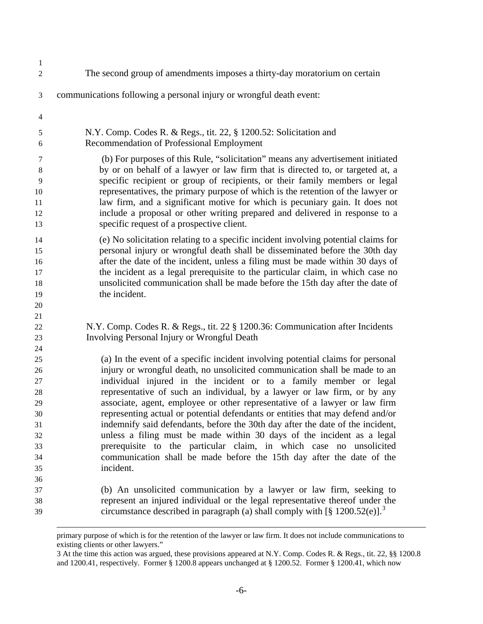| $\mathbf{1}$   |                                                                                                                                                       |
|----------------|-------------------------------------------------------------------------------------------------------------------------------------------------------|
| $\sqrt{2}$     | The second group of amendments imposes a thirty-day moratorium on certain                                                                             |
| $\mathfrak{Z}$ | communications following a personal injury or wrongful death event:                                                                                   |
| $\overline{4}$ |                                                                                                                                                       |
| 5              | N.Y. Comp. Codes R. & Regs., tit. 22, § 1200.52: Solicitation and                                                                                     |
| 6              | Recommendation of Professional Employment                                                                                                             |
| $\tau$         | (b) For purposes of this Rule, "solicitation" means any advertisement initiated                                                                       |
| 8              | by or on behalf of a lawyer or law firm that is directed to, or targeted at, a                                                                        |
| 9              | specific recipient or group of recipients, or their family members or legal                                                                           |
| 10             | representatives, the primary purpose of which is the retention of the lawyer or                                                                       |
| 11             | law firm, and a significant motive for which is pecuniary gain. It does not                                                                           |
| 12<br>13       | include a proposal or other writing prepared and delivered in response to a<br>specific request of a prospective client.                              |
| 14             | (e) No solicitation relating to a specific incident involving potential claims for                                                                    |
| 15             | personal injury or wrongful death shall be disseminated before the 30th day                                                                           |
| 16             | after the date of the incident, unless a filing must be made within 30 days of                                                                        |
| 17             | the incident as a legal prerequisite to the particular claim, in which case no                                                                        |
| 18             | unsolicited communication shall be made before the 15th day after the date of                                                                         |
| 19             | the incident.                                                                                                                                         |
| 20             |                                                                                                                                                       |
| 21             |                                                                                                                                                       |
| 22             | N.Y. Comp. Codes R. & Regs., tit. 22 § 1200.36: Communication after Incidents                                                                         |
| 23             | Involving Personal Injury or Wrongful Death                                                                                                           |
| 24             |                                                                                                                                                       |
| 25             | (a) In the event of a specific incident involving potential claims for personal                                                                       |
| 26             | injury or wrongful death, no unsolicited communication shall be made to an                                                                            |
| 27             | individual injured in the incident or to a family member or legal                                                                                     |
| 28             | representative of such an individual, by a lawyer or law firm, or by any                                                                              |
| 29             | associate, agent, employee or other representative of a lawyer or law firm                                                                            |
| 30             | representing actual or potential defendants or entities that may defend and/or                                                                        |
| 31             | indemnify said defendants, before the 30th day after the date of the incident,                                                                        |
| 32             | unless a filing must be made within 30 days of the incident as a legal                                                                                |
| 33             | prerequisite to the particular claim, in which case no unsolicited                                                                                    |
| 34             | communication shall be made before the 15th day after the date of the                                                                                 |
| 35             | incident.                                                                                                                                             |
| 36             |                                                                                                                                                       |
| 37<br>38       | (b) An unsolicited communication by a lawyer or law firm, seeking to<br>represent an injured individual or the legal representative thereof under the |
|                | circumstance described in paragraph (a) shall comply with [§ $1200.52(e)$ ]. <sup>3</sup>                                                             |
| 39             |                                                                                                                                                       |

primary purpose of which is for the retention of the lawyer or law firm. It does not include communications to existing clients or other lawyers."

-

<span id="page-5-0"></span><sup>3</sup> At the time this action was argued, these provisions appeared at N.Y. Comp. Codes R. & Regs., tit. 22, §§ 1200.8 and 1200.41, respectively. Former § 1200.8 appears unchanged at § 1200.52. Former § 1200.41, which now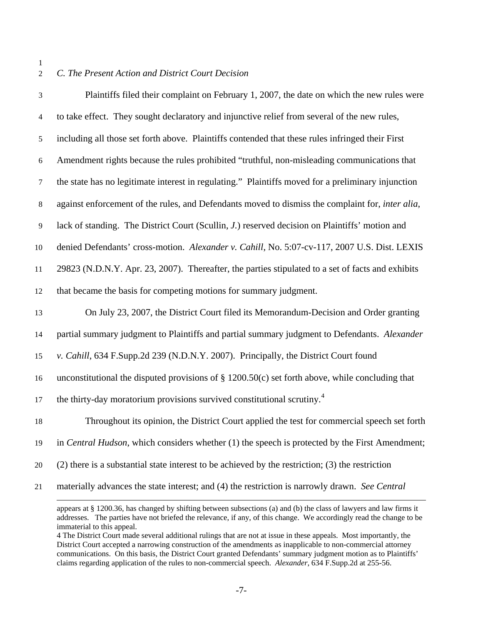#### 1 2

# *C. The Present Action and District Court Decision*

| $\mathfrak{Z}$ | Plaintiffs filed their complaint on February 1, 2007, the date on which the new rules were         |
|----------------|----------------------------------------------------------------------------------------------------|
| $\overline{4}$ | to take effect. They sought declaratory and injunctive relief from several of the new rules,       |
| $\sqrt{5}$     | including all those set forth above. Plaintiffs contended that these rules infringed their First   |
| 6              | Amendment rights because the rules prohibited "truthful, non-misleading communications that        |
| $\tau$         | the state has no legitimate interest in regulating." Plaintiffs moved for a preliminary injunction |
| $\,8\,$        | against enforcement of the rules, and Defendants moved to dismiss the complaint for, inter alia,   |
| $\overline{9}$ | lack of standing. The District Court (Scullin, J.) reserved decision on Plaintiffs' motion and     |
| 10             | denied Defendants' cross-motion. Alexander v. Cahill, No. 5:07-cv-117, 2007 U.S. Dist. LEXIS       |
| 11             | 29823 (N.D.N.Y. Apr. 23, 2007). Thereafter, the parties stipulated to a set of facts and exhibits  |
| 12             | that became the basis for competing motions for summary judgment.                                  |
| 13             | On July 23, 2007, the District Court filed its Memorandum-Decision and Order granting              |
| 14             | partial summary judgment to Plaintiffs and partial summary judgment to Defendants. Alexander       |
| 15             | v. Cahill, 634 F.Supp.2d 239 (N.D.N.Y. 2007). Principally, the District Court found                |
| 16             | unconstitutional the disputed provisions of $\S$ 1200.50(c) set forth above, while concluding that |
| 17             | the thirty-day moratorium provisions survived constitutional scrutiny. <sup>4</sup>                |
| 18             | Throughout its opinion, the District Court applied the test for commercial speech set forth        |
| 19             | in Central Hudson, which considers whether (1) the speech is protected by the First Amendment;     |
| 20             | $(2)$ there is a substantial state interest to be achieved by the restriction; (3) the restriction |
| 21             | materially advances the state interest; and (4) the restriction is narrowly drawn. See Central     |
|                |                                                                                                    |

appears at § 1200.36, has changed by shifting between subsections (a) and (b) the class of lawyers and law firms it addresses. The parties have not briefed the relevance, if any, of this change. We accordingly read the change to be immaterial to this appeal.

<span id="page-6-0"></span><sup>4</sup> The District Court made several additional rulings that are not at issue in these appeals. Most importantly, the District Court accepted a narrowing construction of the amendments as inapplicable to non-commercial attorney communications. On this basis, the District Court granted Defendants' summary judgment motion as to Plaintiffs' claims regarding application of the rules to non-commercial speech. *Alexander*, 634 F.Supp.2d at 255-56.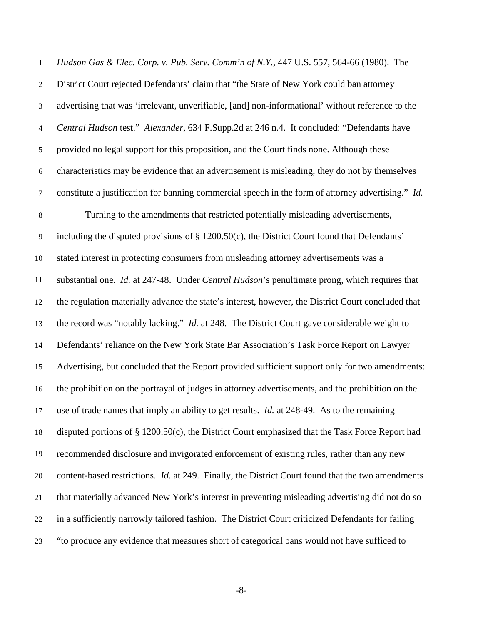*Hudson Gas & Elec. Corp. v. Pub. Serv. Comm'n of N.Y.*, 447 U.S. 557, 564-66 (1980). The District Court rejected Defendants' claim that "the State of New York could ban attorney advertising that was 'irrelevant, unverifiable, [and] non-informational' without reference to the *Central Hudson* test." *Alexander*, 634 F.Supp.2d at 246 n.4. It concluded: "Defendants have provided no legal support for this proposition, and the Court finds none. Although these characteristics may be evidence that an advertisement is misleading, they do not by themselves constitute a justification for banning commercial speech in the form of attorney advertising." *Id.* 1 2 3 4 5 6 7 8 9 10 11 12 13 14 15 16 17 18 19 20 21 22 23 Turning to the amendments that restricted potentially misleading advertisements, including the disputed provisions of § 1200.50(c), the District Court found that Defendants' stated interest in protecting consumers from misleading attorney advertisements was a substantial one. *Id.* at 247-48. Under *Central Hudson*'s penultimate prong, which requires that the regulation materially advance the state's interest, however, the District Court concluded that the record was "notably lacking." *Id.* at 248. The District Court gave considerable weight to Defendants' reliance on the New York State Bar Association's Task Force Report on Lawyer Advertising, but concluded that the Report provided sufficient support only for two amendments: the prohibition on the portrayal of judges in attorney advertisements, and the prohibition on the use of trade names that imply an ability to get results. *Id.* at 248-49. As to the remaining disputed portions of § 1200.50(c), the District Court emphasized that the Task Force Report had recommended disclosure and invigorated enforcement of existing rules, rather than any new content-based restrictions. *Id.* at 249. Finally, the District Court found that the two amendments that materially advanced New York's interest in preventing misleading advertising did not do so in a sufficiently narrowly tailored fashion. The District Court criticized Defendants for failing "to produce any evidence that measures short of categorical bans would not have sufficed to

-8-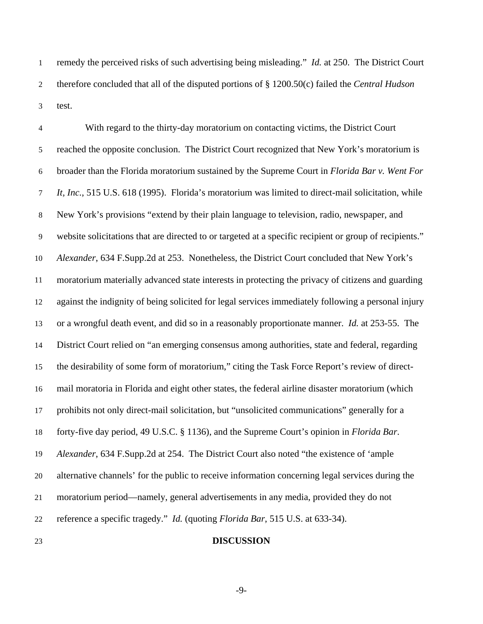remedy the perceived risks of such advertising being misleading." *Id.* at 250. The District Court therefore concluded that all of the disputed portions of § 1200.50(c) failed the *Central Hudson* test. 1 2 3

4 5 6 7 8 9 10 11 12 13 14 15 16 17 18 19 20 21 22 With regard to the thirty-day moratorium on contacting victims, the District Court reached the opposite conclusion. The District Court recognized that New York's moratorium is broader than the Florida moratorium sustained by the Supreme Court in *Florida Bar v. Went For It, Inc.*, 515 U.S. 618 (1995). Florida's moratorium was limited to direct-mail solicitation, while New York's provisions "extend by their plain language to television, radio, newspaper, and website solicitations that are directed to or targeted at a specific recipient or group of recipients." *Alexander*, 634 F.Supp.2d at 253. Nonetheless, the District Court concluded that New York's moratorium materially advanced state interests in protecting the privacy of citizens and guarding against the indignity of being solicited for legal services immediately following a personal injury or a wrongful death event, and did so in a reasonably proportionate manner. *Id.* at 253-55. The District Court relied on "an emerging consensus among authorities, state and federal, regarding the desirability of some form of moratorium," citing the Task Force Report's review of directmail moratoria in Florida and eight other states, the federal airline disaster moratorium (which prohibits not only direct-mail solicitation, but "unsolicited communications" generally for a forty-five day period, 49 U.S.C. § 1136), and the Supreme Court's opinion in *Florida Bar*. *Alexander*, 634 F.Supp.2d at 254. The District Court also noted "the existence of 'ample alternative channels' for the public to receive information concerning legal services during the moratorium period—namely, general advertisements in any media, provided they do not reference a specific tragedy." *Id.* (quoting *Florida Bar*, 515 U.S. at 633-34).

23

#### **DISCUSSION**

-9-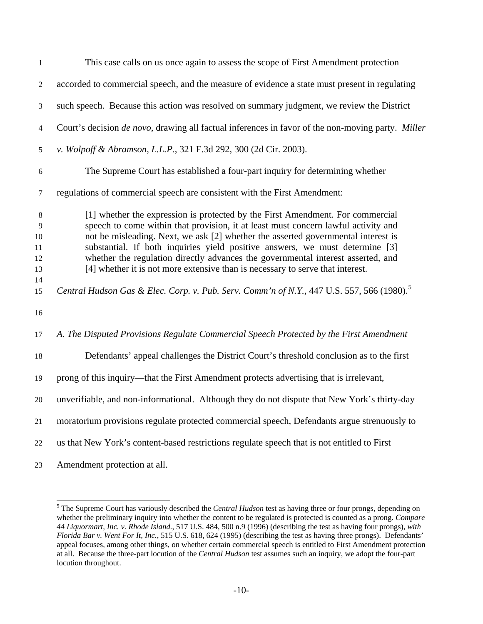| $\mathbf{1}$                   | This case calls on us once again to assess the scope of First Amendment protection                                                                                                                                                                                                                                                                                                                                                                                                                              |
|--------------------------------|-----------------------------------------------------------------------------------------------------------------------------------------------------------------------------------------------------------------------------------------------------------------------------------------------------------------------------------------------------------------------------------------------------------------------------------------------------------------------------------------------------------------|
| 2                              | accorded to commercial speech, and the measure of evidence a state must present in regulating                                                                                                                                                                                                                                                                                                                                                                                                                   |
| 3                              | such speech. Because this action was resolved on summary judgment, we review the District                                                                                                                                                                                                                                                                                                                                                                                                                       |
| 4                              | Court's decision <i>de novo</i> , drawing all factual inferences in favor of the non-moving party. Miller                                                                                                                                                                                                                                                                                                                                                                                                       |
| 5                              | v. Wolpoff & Abramson, L.L.P., 321 F.3d 292, 300 (2d Cir. 2003).                                                                                                                                                                                                                                                                                                                                                                                                                                                |
| 6                              | The Supreme Court has established a four-part inquiry for determining whether                                                                                                                                                                                                                                                                                                                                                                                                                                   |
| 7                              | regulations of commercial speech are consistent with the First Amendment:                                                                                                                                                                                                                                                                                                                                                                                                                                       |
| 8<br>9<br>10<br>11<br>12<br>13 | [1] whether the expression is protected by the First Amendment. For commercial<br>speech to come within that provision, it at least must concern lawful activity and<br>not be misleading. Next, we ask [2] whether the asserted governmental interest is<br>substantial. If both inquiries yield positive answers, we must determine [3]<br>whether the regulation directly advances the governmental interest asserted, and<br>[4] whether it is not more extensive than is necessary to serve that interest. |
| 14<br>15                       | Central Hudson Gas & Elec. Corp. v. Pub. Serv. Comm'n of N.Y., 447 U.S. 557, 566 (1980). <sup>5</sup>                                                                                                                                                                                                                                                                                                                                                                                                           |
| 16                             |                                                                                                                                                                                                                                                                                                                                                                                                                                                                                                                 |
| 17                             | A. The Disputed Provisions Regulate Commercial Speech Protected by the First Amendment                                                                                                                                                                                                                                                                                                                                                                                                                          |
| 18                             | Defendants' appeal challenges the District Court's threshold conclusion as to the first                                                                                                                                                                                                                                                                                                                                                                                                                         |
| 19                             | prong of this inquiry—that the First Amendment protects advertising that is irrelevant,                                                                                                                                                                                                                                                                                                                                                                                                                         |
| 20                             | unverifiable, and non-informational. Although they do not dispute that New York's thirty-day                                                                                                                                                                                                                                                                                                                                                                                                                    |
| 21                             | moratorium provisions regulate protected commercial speech, Defendants argue strenuously to                                                                                                                                                                                                                                                                                                                                                                                                                     |
| 22                             | us that New York's content-based restrictions regulate speech that is not entitled to First                                                                                                                                                                                                                                                                                                                                                                                                                     |
| 23                             | Amendment protection at all.                                                                                                                                                                                                                                                                                                                                                                                                                                                                                    |

<span id="page-9-0"></span> 5 The Supreme Court has variously described the *Central Hudson* test as having three or four prongs, depending on whether the preliminary inquiry into whether the content to be regulated is protected is counted as a prong. *Compare 44 Liquormart, Inc. v. Rhode Island.*, 517 U.S. 484, 500 n.9 (1996) (describing the test as having four prongs), *with Florida Bar v. Went For It, Inc.*, 515 U.S. 618, 624 (1995) (describing the test as having three prongs). Defendants' appeal focuses, among other things, on whether certain commercial speech is entitled to First Amendment protection at all. Because the three-part locution of the *Central Hudson* test assumes such an inquiry, we adopt the four-part locution throughout.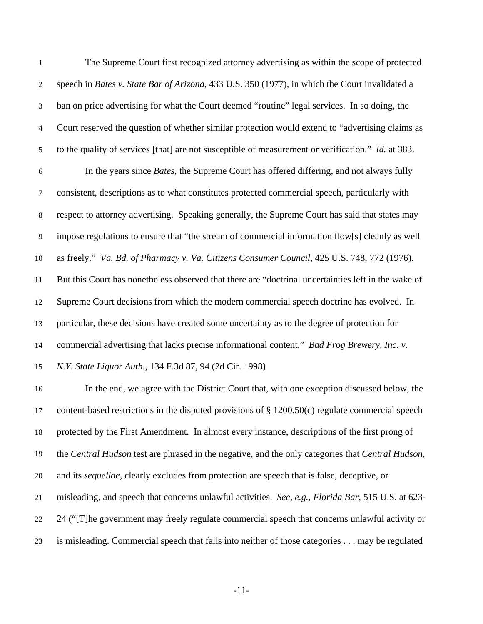The Supreme Court first recognized attorney advertising as within the scope of protected speech in *Bates v. State Bar of Arizona*, 433 U.S. 350 (1977), in which the Court invalidated a ban on price advertising for what the Court deemed "routine" legal services. In so doing, the Court reserved the question of whether similar protection would extend to "advertising claims as to the quality of services [that] are not susceptible of measurement or verification." *Id.* at 383. 1 2 3 4 5 6 7 8 9 10 11 12 13 14 15 In the years since *Bates*, the Supreme Court has offered differing, and not always fully consistent, descriptions as to what constitutes protected commercial speech, particularly with respect to attorney advertising. Speaking generally, the Supreme Court has said that states may impose regulations to ensure that "the stream of commercial information flow[s] cleanly as well as freely." *Va. Bd. of Pharmacy v. Va. Citizens Consumer Council*, 425 U.S. 748, 772 (1976). But this Court has nonetheless observed that there are "doctrinal uncertainties left in the wake of Supreme Court decisions from which the modern commercial speech doctrine has evolved. In particular, these decisions have created some uncertainty as to the degree of protection for commercial advertising that lacks precise informational content." *Bad Frog Brewery, Inc. v. N.Y. State Liquor Auth.*, 134 F.3d 87, 94 (2d Cir. 1998)

16 17 18 19 20 21 22 23 In the end, we agree with the District Court that, with one exception discussed below, the content-based restrictions in the disputed provisions of  $\S$  1200.50(c) regulate commercial speech protected by the First Amendment. In almost every instance, descriptions of the first prong of the *Central Hudson* test are phrased in the negative, and the only categories that *Central Hudson*, and its *sequellae*, clearly excludes from protection are speech that is false, deceptive, or misleading, and speech that concerns unlawful activities. *See, e.g.*, *Florida Bar*, 515 U.S. at 623- 24 ("[T]he government may freely regulate commercial speech that concerns unlawful activity or is misleading. Commercial speech that falls into neither of those categories . . . may be regulated

-11-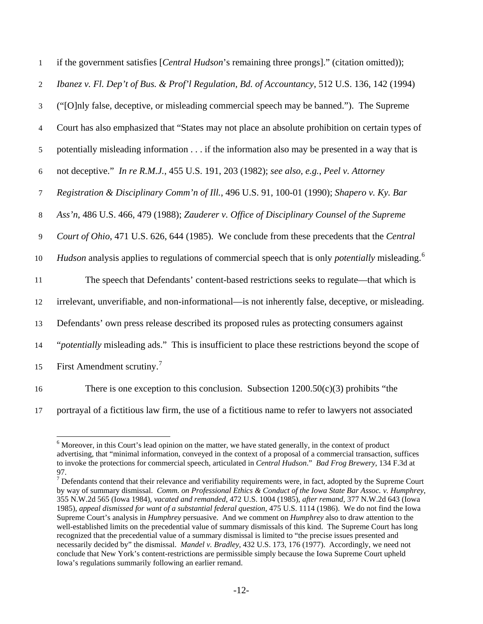| $\mathbf{1}$   | if the government satisfies [Central Hudson's remaining three prongs]." (citation omitted));                         |
|----------------|----------------------------------------------------------------------------------------------------------------------|
| 2              | Ibanez v. Fl. Dep't of Bus. & Prof'l Regulation, Bd. of Accountancy, 512 U.S. 136, 142 (1994)                        |
| $\mathfrak{Z}$ | ("[O]nly false, deceptive, or misleading commercial speech may be banned."). The Supreme                             |
| $\overline{4}$ | Court has also emphasized that "States may not place an absolute prohibition on certain types of                     |
| 5              | potentially misleading information if the information also may be presented in a way that is                         |
| 6              | not deceptive." In re R.M.J., 455 U.S. 191, 203 (1982); see also, e.g., Peel v. Attorney                             |
| 7              | Registration & Disciplinary Comm'n of Ill., 496 U.S. 91, 100-01 (1990); Shapero v. Ky. Bar                           |
| $8\,$          | Ass'n, 486 U.S. 466, 479 (1988); Zauderer v. Office of Disciplinary Counsel of the Supreme                           |
| $\overline{9}$ | Court of Ohio, 471 U.S. 626, 644 (1985). We conclude from these precedents that the Central                          |
| 10             | Hudson analysis applies to regulations of commercial speech that is only <i>potentially</i> misleading. <sup>6</sup> |
| 11             | The speech that Defendants' content-based restrictions seeks to regulate—that which is                               |
| 12             | irrelevant, unverifiable, and non-informational—is not inherently false, deceptive, or misleading.                   |
| 13             | Defendants' own press release described its proposed rules as protecting consumers against                           |
| 14             | "potentially misleading ads." This is insufficient to place these restrictions beyond the scope of                   |
| 15             | First Amendment scrutiny. <sup>7</sup>                                                                               |
| 16             | There is one exception to this conclusion. Subsection $1200.50(c)(3)$ prohibits "the                                 |

-

There is one exception to this conclusion. Subsection  $1200.50(c)(3)$  prohibits "the

<span id="page-11-0"></span>17 portrayal of a fictitious law firm, the use of a fictitious name to refer to lawyers not associated

<sup>&</sup>lt;sup>6</sup> Moreover, in this Court's lead opinion on the matter, we have stated generally, in the context of product advertising, that "minimal information, conveyed in the context of a proposal of a commercial transaction, suffices to invoke the protections for commercial speech, articulated in *Central Hudson*." *Bad Frog Brewery*, 134 F.3d at 97.

<span id="page-11-1"></span> $<sup>7</sup>$  Defendants contend that their relevance and verifiability requirements were, in fact, adopted by the Supreme Court</sup> by way of summary dismissal. *Comm. on Professional Ethics & Conduct of the Iowa State Bar Assoc. v. Humphrey*, 355 N.W.2d 565 (Iowa 1984), *vacated and remanded*, 472 U.S. 1004 (1985), *after remand*, 377 N.W.2d 643 (Iowa 1985), *appeal dismissed for want of a substantial federal question*, 475 U.S. 1114 (1986). We do not find the Iowa Supreme Court's analysis in *Humphrey* persuasive. And we comment on *Humphrey* also to draw attention to the well-established limits on the precedential value of summary dismissals of this kind. The Supreme Court has long recognized that the precedential value of a summary dismissal is limited to "the precise issues presented and necessarily decided by" the dismissal. *Mandel v. Bradley*, 432 U.S. 173, 176 (1977). Accordingly, we need not conclude that New York's content-restrictions are permissible simply because the Iowa Supreme Court upheld Iowa's regulations summarily following an earlier remand.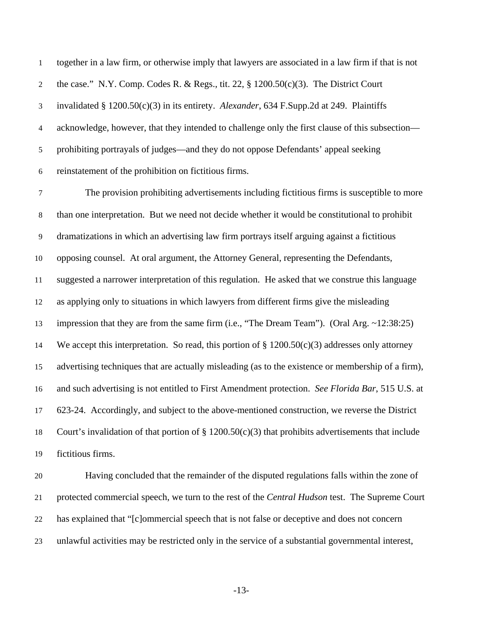together in a law firm, or otherwise imply that lawyers are associated in a law firm if that is not the case." N.Y. Comp. Codes R. & Regs., tit. 22, § 1200.50(c)(3). The District Court invalidated § 1200.50(c)(3) in its entirety. *Alexander*, 634 F.Supp.2d at 249. Plaintiffs acknowledge, however, that they intended to challenge only the first clause of this subsection prohibiting portrayals of judges—and they do not oppose Defendants' appeal seeking reinstatement of the prohibition on fictitious firms. 1 2 3 4 5 6

7 8 9 10 11 12 13 14 15 16 17 18 19 The provision prohibiting advertisements including fictitious firms is susceptible to more than one interpretation. But we need not decide whether it would be constitutional to prohibit dramatizations in which an advertising law firm portrays itself arguing against a fictitious opposing counsel. At oral argument, the Attorney General, representing the Defendants, suggested a narrower interpretation of this regulation. He asked that we construe this language as applying only to situations in which lawyers from different firms give the misleading impression that they are from the same firm (i.e., "The Dream Team"). (Oral Arg. ~12:38:25) We accept this interpretation. So read, this portion of  $\S 1200.50(c)(3)$  addresses only attorney advertising techniques that are actually misleading (as to the existence or membership of a firm), and such advertising is not entitled to First Amendment protection. *See Florida Bar*, 515 U.S. at 623-24. Accordingly, and subject to the above-mentioned construction, we reverse the District Court's invalidation of that portion of  $\S 1200.50(c)(3)$  that prohibits advertisements that include fictitious firms.

20 21 22 23 Having concluded that the remainder of the disputed regulations falls within the zone of protected commercial speech, we turn to the rest of the *Central Hudson* test. The Supreme Court has explained that "[c]ommercial speech that is not false or deceptive and does not concern unlawful activities may be restricted only in the service of a substantial governmental interest,

-13-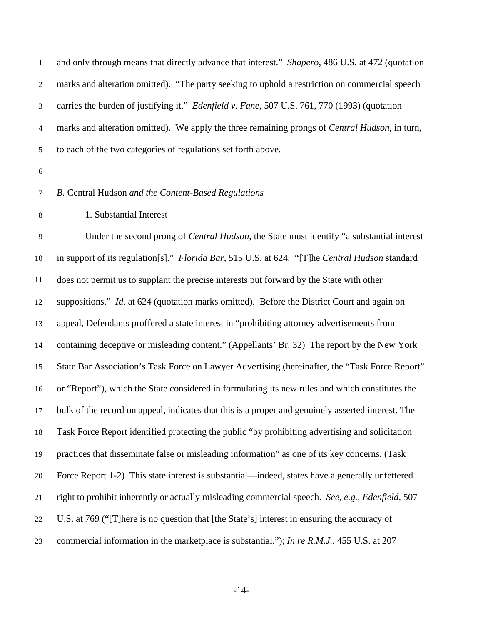and only through means that directly advance that interest." *Shapero*, 486 U.S. at 472 (quotation marks and alteration omitted). "The party seeking to uphold a restriction on commercial speech carries the burden of justifying it." *Edenfield v. Fane*, 507 U.S. 761, 770 (1993) (quotation marks and alteration omitted). We apply the three remaining prongs of *Central Hudson*, in turn, to each of the two categories of regulations set forth above. 1 2 3 4 5

6

## 7 *B.* Central Hudson *and the Content-Based Regulations*

# 8 1. Substantial Interest

9 10 11 12 13 14 15 16 17 18 19 20 21 22 23 Under the second prong of *Central Hudson*, the State must identify "a substantial interest in support of its regulation[s]." *Florida Bar*, 515 U.S. at 624. "[T]he *Central Hudson* standard does not permit us to supplant the precise interests put forward by the State with other suppositions." *Id.* at 624 (quotation marks omitted). Before the District Court and again on appeal, Defendants proffered a state interest in "prohibiting attorney advertisements from containing deceptive or misleading content." (Appellants' Br. 32) The report by the New York State Bar Association's Task Force on Lawyer Advertising (hereinafter, the "Task Force Report" or "Report"), which the State considered in formulating its new rules and which constitutes the bulk of the record on appeal, indicates that this is a proper and genuinely asserted interest. The Task Force Report identified protecting the public "by prohibiting advertising and solicitation practices that disseminate false or misleading information" as one of its key concerns. (Task Force Report 1-2) This state interest is substantial—indeed, states have a generally unfettered right to prohibit inherently or actually misleading commercial speech. *See, e.g.*, *Edenfield*, 507 U.S. at 769 ("[T]here is no question that [the State's] interest in ensuring the accuracy of commercial information in the marketplace is substantial."); *In re R.M.J.*, 455 U.S. at 207

-14-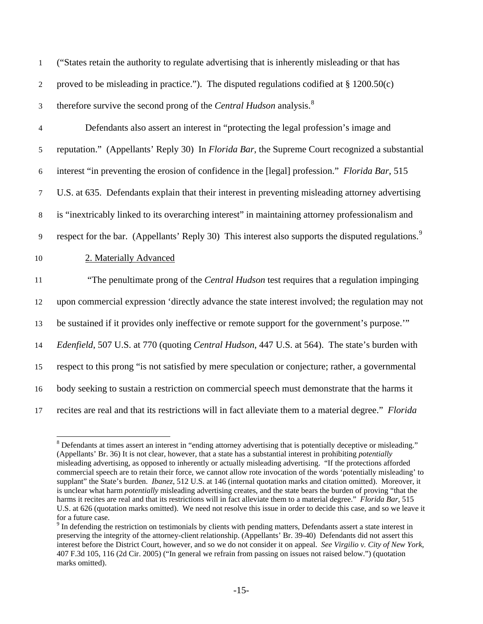| $\mathbf{1}$   | ("States retain the authority to regulate advertising that is inherently misleading or that has                |
|----------------|----------------------------------------------------------------------------------------------------------------|
| 2              | proved to be misleading in practice."). The disputed regulations codified at $\S 1200.50(c)$                   |
| 3              | therefore survive the second prong of the Central Hudson analysis. <sup>8</sup>                                |
| $\overline{4}$ | Defendants also assert an interest in "protecting the legal profession's image and                             |
| 5              | reputation." (Appellants' Reply 30) In <i>Florida Bar</i> , the Supreme Court recognized a substantial         |
| 6              | interest "in preventing the erosion of confidence in the [legal] profession." Florida Bar, 515                 |
| $\tau$         | U.S. at 635. Defendants explain that their interest in preventing misleading attorney advertising              |
| 8              | is "inextricably linked to its overarching interest" in maintaining attorney professionalism and               |
| 9              | respect for the bar. (Appellants' Reply 30) This interest also supports the disputed regulations. <sup>9</sup> |
| 10             | 2. Materially Advanced                                                                                         |
| 11             | "The penultimate prong of the <i>Central Hudson</i> test requires that a regulation impinging                  |
| 12             | upon commercial expression 'directly advance the state interest involved; the regulation may not               |
| 13             | be sustained if it provides only ineffective or remote support for the government's purpose."                  |
| 14             | Edenfield, 507 U.S. at 770 (quoting Central Hudson, 447 U.S. at 564). The state's burden with                  |
| 15             | respect to this prong "is not satisfied by mere speculation or conjecture; rather, a governmental              |
| 16             | body seeking to sustain a restriction on commercial speech must demonstrate that the harms it                  |
| 17             | recites are real and that its restrictions will in fact alleviate them to a material degree." Florida          |

<span id="page-14-0"></span> $8$  Defendants at times assert an interest in "ending attorney advertising that is potentially deceptive or misleading." (Appellants' Br. 36) It is not clear, however, that a state has a substantial interest in prohibiting *potentially* misleading advertising, as opposed to inherently or actually misleading advertising. "If the protections afforded commercial speech are to retain their force, we cannot allow rote invocation of the words 'potentially misleading' to supplant" the State's burden. *Ibanez*, 512 U.S. at 146 (internal quotation marks and citation omitted). Moreover, it is unclear what harm *potentially* misleading advertising creates, and the state bears the burden of proving "that the harms it recites are real and that its restrictions will in fact alleviate them to a material degree." *Florida Bar*, 515 U.S. at 626 (quotation marks omitted). We need not resolve this issue in order to decide this case, and so we leave it for a future case.

-

<span id="page-14-1"></span> $9<sup>9</sup>$  In defending the restriction on testimonials by clients with pending matters, Defendants assert a state interest in preserving the integrity of the attorney-client relationship. (Appellants' Br. 39-40) Defendants did not assert this interest before the District Court, however, and so we do not consider it on appeal. *See Virgilio v. City of New York*, 407 F.3d 105, 116 (2d Cir. 2005) ("In general we refrain from passing on issues not raised below.") (quotation marks omitted).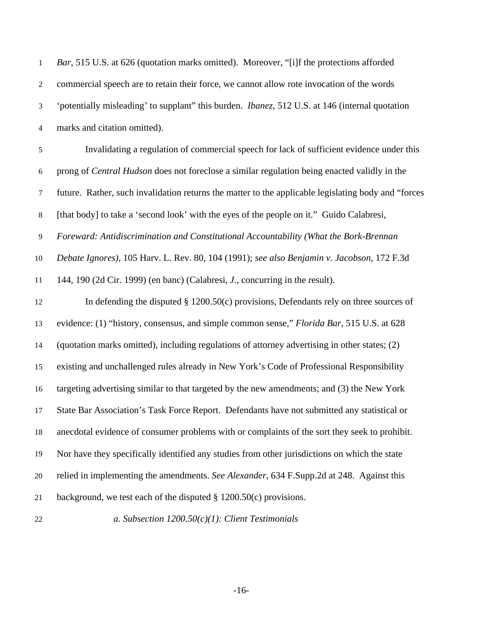| $\mathbf{1}$     | Bar, 515 U.S. at 626 (quotation marks omitted). Moreover, "[i]f the protections afforded               |
|------------------|--------------------------------------------------------------------------------------------------------|
| $\boldsymbol{2}$ | commercial speech are to retain their force, we cannot allow rote invocation of the words              |
| $\mathfrak{Z}$   | 'potentially misleading' to supplant" this burden. <i>Ibanez</i> , 512 U.S. at 146 (internal quotation |
| $\overline{4}$   | marks and citation omitted).                                                                           |
| $\sqrt{5}$       | Invalidating a regulation of commercial speech for lack of sufficient evidence under this              |
| 6                | prong of Central Hudson does not foreclose a similar regulation being enacted validly in the           |
| $\tau$           | future. Rather, such invalidation returns the matter to the applicable legislating body and "forces"   |
| $\,8\,$          | [that body] to take a 'second look' with the eyes of the people on it." Guido Calabresi,               |
| $\overline{9}$   | Foreward: Antidiscrimination and Constitutional Accountability (What the Bork-Brennan                  |
| 10               | Debate Ignores), 105 Harv. L. Rev. 80, 104 (1991); see also Benjamin v. Jacobson, 172 F.3d             |
| 11               | 144, 190 (2d Cir. 1999) (en banc) (Calabresi, J., concurring in the result).                           |
| 12               | In defending the disputed $\S$ 1200.50(c) provisions, Defendants rely on three sources of              |
| 13               | evidence: (1) "history, consensus, and simple common sense," Florida Bar, 515 U.S. at 628              |
| 14               | (quotation marks omitted), including regulations of attorney advertising in other states; (2)          |
| 15               | existing and unchallenged rules already in New York's Code of Professional Responsibility              |
| 16               | targeting advertising similar to that targeted by the new amendments; and (3) the New York             |
| 17               | State Bar Association's Task Force Report. Defendants have not submitted any statistical or            |
| 18               | anecdotal evidence of consumer problems with or complaints of the sort they seek to prohibit.          |
| 19               | Nor have they specifically identified any studies from other jurisdictions on which the state          |
| 20               | relied in implementing the amendments. See Alexander, 634 F.Supp.2d at 248. Against this               |
| 21               | background, we test each of the disputed $\S$ 1200.50(c) provisions.                                   |
| 22               | a. Subsection $1200.50(c)(1)$ : Client Testimonials                                                    |

-16-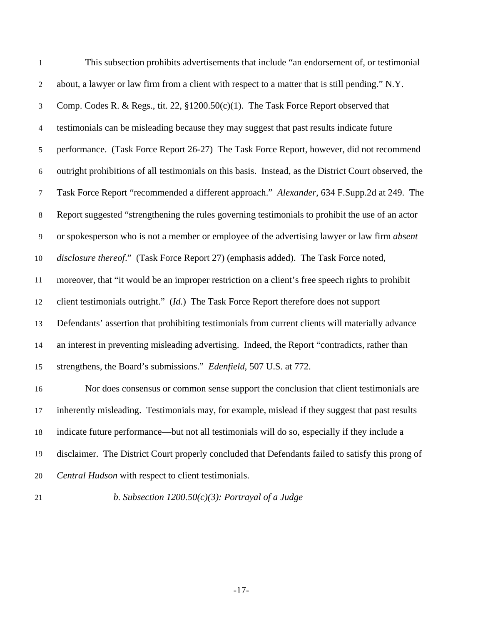| $\mathbf{1}$     | This subsection prohibits advertisements that include "an endorsement of, or testimonial              |
|------------------|-------------------------------------------------------------------------------------------------------|
| $\overline{2}$   | about, a lawyer or law firm from a client with respect to a matter that is still pending." N.Y.       |
| 3                | Comp. Codes R. & Regs., tit. 22, §1200.50(c)(1). The Task Force Report observed that                  |
| $\overline{4}$   | testimonials can be misleading because they may suggest that past results indicate future             |
| 5                | performance. (Task Force Report 26-27) The Task Force Report, however, did not recommend              |
| $\boldsymbol{6}$ | outright prohibitions of all testimonials on this basis. Instead, as the District Court observed, the |
| $\overline{7}$   | Task Force Report "recommended a different approach." Alexander, 634 F.Supp.2d at 249. The            |
| $8\,$            | Report suggested "strengthening the rules governing testimonials to prohibit the use of an actor      |
| 9                | or spokesperson who is not a member or employee of the advertising lawyer or law firm absent          |
| 10               | disclosure thereof." (Task Force Report 27) (emphasis added). The Task Force noted,                   |
| 11               | moreover, that "it would be an improper restriction on a client's free speech rights to prohibit      |
| 12               | client testimonials outright." (Id.) The Task Force Report therefore does not support                 |
| 13               | Defendants' assertion that prohibiting testimonials from current clients will materially advance      |
| 14               | an interest in preventing misleading advertising. Indeed, the Report "contradicts, rather than        |
| 15               | strengthens, the Board's submissions." <i>Edenfield</i> , 507 U.S. at 772.                            |
| 16               | Nor does consensus or common sense support the conclusion that client testimonials are                |
|                  | 17 inherently misleading. Testimonials may, for example, mislead if they suggest that past results    |
| 18               | indicate future performance—but not all testimonials will do so, especially if they include a         |
| 19               | disclaimer. The District Court properly concluded that Defendants failed to satisfy this prong of     |
| 20               | Central Hudson with respect to client testimonials.                                                   |

21

*b. Subsection 1200.50(c)(3): Portrayal of a Judge*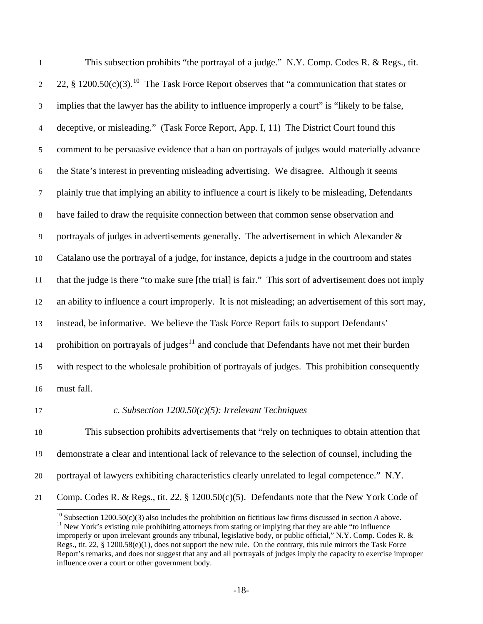This subsection prohibits "the portrayal of a judge." N.Y. Comp. Codes R. & Regs., tit. 22, § 1200.50(c)(3).<sup>[10](#page-17-0)</sup> The Task Force Report observes that "a communication that states or 1 2 3 4 5 6 7 8 9 10 11 12 13 14 15 16 implies that the lawyer has the ability to influence improperly a court" is "likely to be false, deceptive, or misleading." (Task Force Report, App. I, 11) The District Court found this comment to be persuasive evidence that a ban on portrayals of judges would materially advance the State's interest in preventing misleading advertising. We disagree. Although it seems plainly true that implying an ability to influence a court is likely to be misleading, Defendants have failed to draw the requisite connection between that common sense observation and portrayals of judges in advertisements generally. The advertisement in which Alexander & Catalano use the portrayal of a judge, for instance, depicts a judge in the courtroom and states that the judge is there "to make sure [the trial] is fair." This sort of advertisement does not imply an ability to influence a court improperly. It is not misleading; an advertisement of this sort may, instead, be informative. We believe the Task Force Report fails to support Defendants' prohibition on portrayals of judges $11$  and conclude that Defendants have not met their burden with respect to the wholesale prohibition of portrayals of judges. This prohibition consequently must fall.

17

# *c. Subsection 1200.50(c)(5): Irrelevant Techniques*

18 19 20 This subsection prohibits advertisements that "rely on techniques to obtain attention that demonstrate a clear and intentional lack of relevance to the selection of counsel, including the portrayal of lawyers exhibiting characteristics clearly unrelated to legal competence." N.Y. Comp. Codes R. & Regs., tit. 22, § 1200.50(c)(5). Defendants note that the New York Code of

<span id="page-17-1"></span><span id="page-17-0"></span><sup>21</sup>   $\overline{a}$ 

<sup>&</sup>lt;sup>10</sup> Subsection 1200.50(c)(3) also includes the prohibition on fictitious law firms discussed in section A above.<br><sup>11</sup> New York's existing rule prohibiting attorneys from stating or implying that they are able "to influen improperly or upon irrelevant grounds any tribunal, legislative body, or public official," N.Y. Comp. Codes R. & Regs., tit. 22, § 1200.58(e)(1), does not support the new rule. On the contrary, this rule mirrors the Task Force Report's remarks, and does not suggest that any and all portrayals of judges imply the capacity to exercise improper influence over a court or other government body.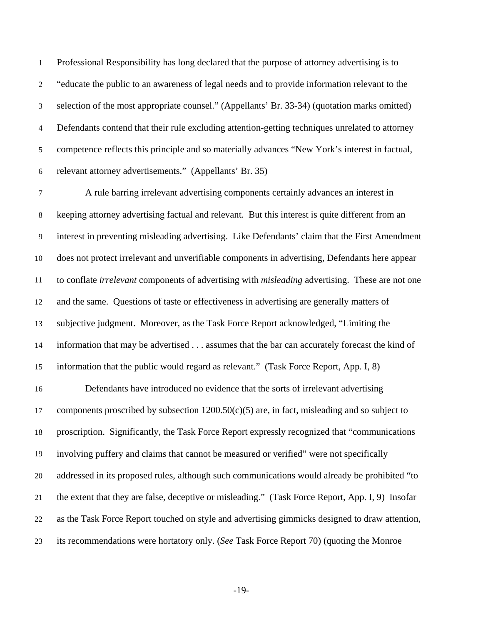Professional Responsibility has long declared that the purpose of attorney advertising is to "educate the public to an awareness of legal needs and to provide information relevant to the selection of the most appropriate counsel." (Appellants' Br. 33-34) (quotation marks omitted) Defendants contend that their rule excluding attention-getting techniques unrelated to attorney competence reflects this principle and so materially advances "New York's interest in factual, relevant attorney advertisements." (Appellants' Br. 35) 1 2 3 4 5 6

7 8 9 10 11 12 13 14 15 A rule barring irrelevant advertising components certainly advances an interest in keeping attorney advertising factual and relevant. But this interest is quite different from an interest in preventing misleading advertising. Like Defendants' claim that the First Amendment does not protect irrelevant and unverifiable components in advertising, Defendants here appear to conflate *irrelevant* components of advertising with *misleading* advertising. These are not one and the same. Questions of taste or effectiveness in advertising are generally matters of subjective judgment. Moreover, as the Task Force Report acknowledged, "Limiting the information that may be advertised . . . assumes that the bar can accurately forecast the kind of information that the public would regard as relevant."(Task Force Report, App. I, 8)

16 17 18 19 20 21 22 23 Defendants have introduced no evidence that the sorts of irrelevant advertising components proscribed by subsection  $1200.50(c)(5)$  are, in fact, misleading and so subject to proscription. Significantly, the Task Force Report expressly recognized that "communications involving puffery and claims that cannot be measured or verified" were not specifically addressed in its proposed rules, although such communications would already be prohibited "to the extent that they are false, deceptive or misleading." (Task Force Report, App. I, 9) Insofar as the Task Force Report touched on style and advertising gimmicks designed to draw attention, its recommendations were hortatory only. (*See* Task Force Report 70) (quoting the Monroe

-19-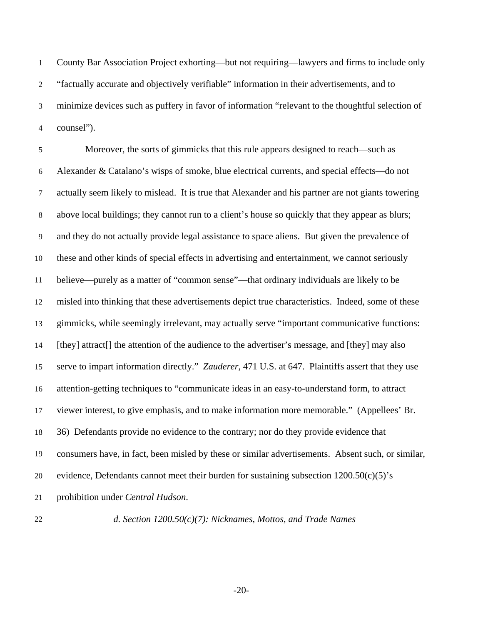County Bar Association Project exhorting—but not requiring—lawyers and firms to include only "factually accurate and objectively verifiable" information in their advertisements, and to minimize devices such as puffery in favor of information "relevant to the thoughtful selection of counsel"). 1 2 3 4

5 6 7 8 9 10 11 12 13 14 15 16 17 18 19 20 21 Moreover, the sorts of gimmicks that this rule appears designed to reach—such as Alexander & Catalano's wisps of smoke, blue electrical currents, and special effects—do not actually seem likely to mislead. It is true that Alexander and his partner are not giants towering above local buildings; they cannot run to a client's house so quickly that they appear as blurs; and they do not actually provide legal assistance to space aliens. But given the prevalence of these and other kinds of special effects in advertising and entertainment, we cannot seriously believe—purely as a matter of "common sense"—that ordinary individuals are likely to be misled into thinking that these advertisements depict true characteristics. Indeed, some of these gimmicks, while seemingly irrelevant, may actually serve "important communicative functions: [they] attract[] the attention of the audience to the advertiser's message, and [they] may also serve to impart information directly." *Zauderer*, 471 U.S. at 647. Plaintiffs assert that they use attention-getting techniques to "communicate ideas in an easy-to-understand form, to attract viewer interest, to give emphasis, and to make information more memorable." (Appellees' Br. 36) Defendants provide no evidence to the contrary; nor do they provide evidence that consumers have, in fact, been misled by these or similar advertisements. Absent such, or similar, evidence, Defendants cannot meet their burden for sustaining subsection 1200.50(c)(5)'s prohibition under *Central Hudson*.

22

*d. Section 1200.50(c)(7): Nicknames, Mottos, and Trade Names* 

-20-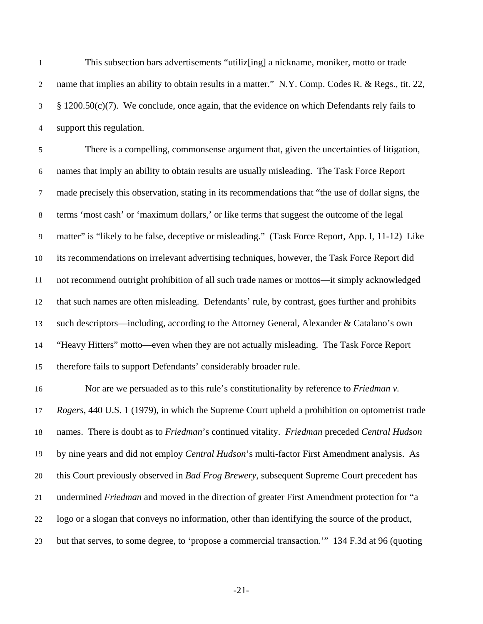This subsection bars advertisements "utiliz[ing] a nickname, moniker, motto or trade name that implies an ability to obtain results in a matter." N.Y. Comp. Codes R. & Regs., tit. 22, § 1200.50(c)(7). We conclude, once again, that the evidence on which Defendants rely fails to support this regulation. 1 2 3 4

5 6 7 8 9 10 11 12 13 14 15 There is a compelling, commonsense argument that, given the uncertainties of litigation, names that imply an ability to obtain results are usually misleading. The Task Force Report made precisely this observation, stating in its recommendations that "the use of dollar signs, the terms 'most cash' or 'maximum dollars,' or like terms that suggest the outcome of the legal matter" is "likely to be false, deceptive or misleading." (Task Force Report, App. I, 11-12) Like its recommendations on irrelevant advertising techniques, however, the Task Force Report did not recommend outright prohibition of all such trade names or mottos—it simply acknowledged that such names are often misleading. Defendants' rule, by contrast, goes further and prohibits such descriptors—including, according to the Attorney General, Alexander & Catalano's own "Heavy Hitters" motto—even when they are not actually misleading. The Task Force Report therefore fails to support Defendants' considerably broader rule.

16 17 18 19 20 21 22 23 Nor are we persuaded as to this rule's constitutionality by reference to *Friedman v. Rogers*, 440 U.S. 1 (1979), in which the Supreme Court upheld a prohibition on optometrist trade names. There is doubt as to *Friedman*'s continued vitality. *Friedman* preceded *Central Hudson* by nine years and did not employ *Central Hudson*'s multi-factor First Amendment analysis. As this Court previously observed in *Bad Frog Brewery*, subsequent Supreme Court precedent has undermined *Friedman* and moved in the direction of greater First Amendment protection for "a logo or a slogan that conveys no information, other than identifying the source of the product, but that serves, to some degree, to 'propose a commercial transaction.'" 134 F.3d at 96 (quoting

-21-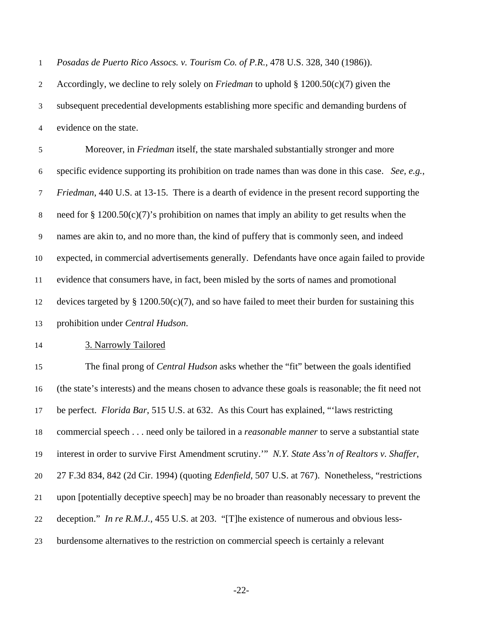*Posadas de Puerto Rico Assocs. v. Tourism Co. of P.R.*, 478 U.S. 328, 340 (1986)). 1

Accordingly, we decline to rely solely on *Friedman* to uphold § 1200.50(c)(7) given the subsequent precedential developments establishing more specific and demanding burdens of evidence on the state. 2 3 4

5 6 7 8 9 10 11 12 13 Moreover, in *Friedman* itself, the state marshaled substantially stronger and more specific evidence supporting its prohibition on trade names than was done in this case. *See, e.g.*, *Friedman*, 440 U.S. at 13-15. There is a dearth of evidence in the present record supporting the need for § 1200.50(c)(7)'s prohibition on names that imply an ability to get results when the names are akin to, and no more than, the kind of puffery that is commonly seen, and indeed expected, in commercial advertisements generally. Defendants have once again failed to provide evidence that consumers have, in fact, been misled by the sorts of names and promotional devices targeted by  $\S 1200.50(c)(7)$ , and so have failed to meet their burden for sustaining this prohibition under *Central Hudson*.

14 3. Narrowly Tailored

15 16 17 18 19 20 21 22 23 The final prong of *Central Hudson* asks whether the "fit" between the goals identified (the state's interests) and the means chosen to advance these goals is reasonable; the fit need not be perfect. *Florida Bar*, 515 U.S. at 632. As this Court has explained, "'laws restricting commercial speech . . . need only be tailored in a *reasonable manner* to serve a substantial state interest in order to survive First Amendment scrutiny.'" *N.Y. State Ass'n of Realtors v. Shaffer*, 27 F.3d 834, 842 (2d Cir. 1994) (quoting *Edenfield*, 507 U.S. at 767). Nonetheless, "restrictions upon [potentially deceptive speech] may be no broader than reasonably necessary to prevent the deception." *In re R.M.J.*, 455 U.S. at 203. "[T]he existence of numerous and obvious lessburdensome alternatives to the restriction on commercial speech is certainly a relevant

-22-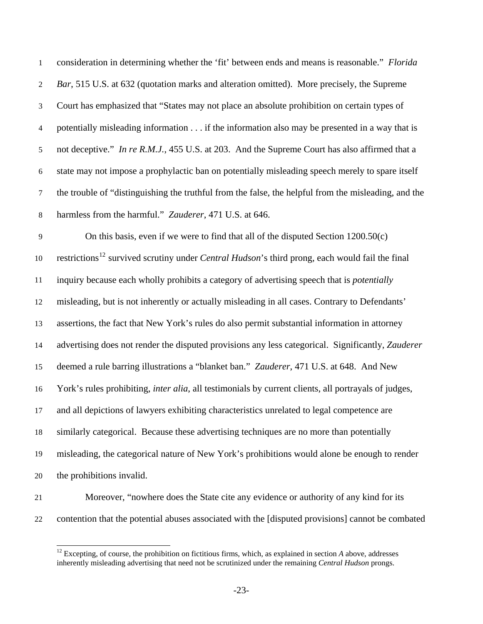consideration in determining whether the 'fit' between ends and means is reasonable." *Florida Bar*, 515 U.S. at 632 (quotation marks and alteration omitted). More precisely, the Supreme Court has emphasized that "States may not place an absolute prohibition on certain types of potentially misleading information . . . if the information also may be presented in a way that is not deceptive." *In re R.M.J.*, 455 U.S. at 203. And the Supreme Court has also affirmed that a state may not impose a prophylactic ban on potentially misleading speech merely to spare itself the trouble of "distinguishing the truthful from the false, the helpful from the misleading, and the harmless from the harmful." *Zauderer*, 471 U.S. at 646. 1 2 3 4 5 6 7 8

9 10 11 12 13 14 15 16 17 18 19 20 On this basis, even if we were to find that all of the disputed Section 1200.50(c) restrictions<sup>[12](#page-22-0)</sup> survived scrutiny under *Central Hudson*'s third prong, each would fail the final inquiry because each wholly prohibits a category of advertising speech that is *potentially* misleading, but is not inherently or actually misleading in all cases. Contrary to Defendants' assertions, the fact that New York's rules do also permit substantial information in attorney advertising does not render the disputed provisions any less categorical. Significantly, *Zauderer* deemed a rule barring illustrations a "blanket ban." *Zauderer*, 471 U.S. at 648. And New York's rules prohibiting, *inter alia*, all testimonials by current clients, all portrayals of judges, and all depictions of lawyers exhibiting characteristics unrelated to legal competence are similarly categorical. Because these advertising techniques are no more than potentially misleading, the categorical nature of New York's prohibitions would alone be enough to render the prohibitions invalid.

21

<span id="page-22-0"></span>22

-

Moreover, "nowhere does the State cite any evidence or authority of any kind for its contention that the potential abuses associated with the [disputed provisions] cannot be combated

<sup>&</sup>lt;sup>12</sup> Excepting, of course, the prohibition on fictitious firms, which, as explained in section *A* above, addresses inherently misleading advertising that need not be scrutinized under the remaining *Central Hudson* prongs.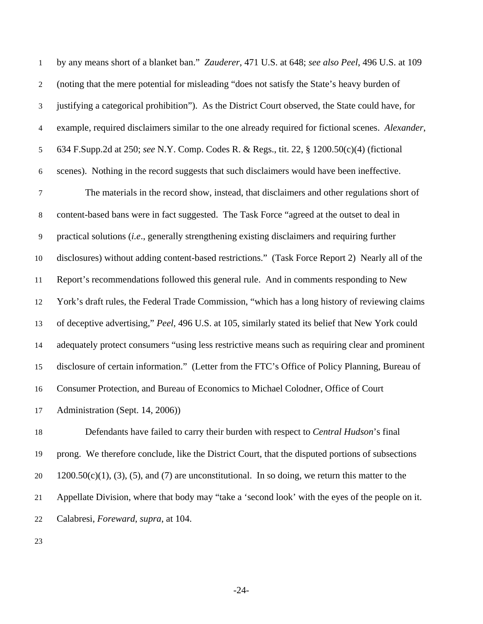| $\mathbf{1}$   | by any means short of a blanket ban." Zauderer, 471 U.S. at 648; see also Peel, 496 U.S. at 109    |
|----------------|----------------------------------------------------------------------------------------------------|
| $\overline{2}$ | (noting that the mere potential for misleading "does not satisfy the State's heavy burden of       |
| $\mathfrak{Z}$ | justifying a categorical prohibition"). As the District Court observed, the State could have, for  |
| $\overline{4}$ | example, required disclaimers similar to the one already required for fictional scenes. Alexander, |
| 5              | 634 F.Supp.2d at 250; see N.Y. Comp. Codes R. & Regs., tit. 22, § 1200.50(c)(4) (fictional         |
| 6              | scenes). Nothing in the record suggests that such disclaimers would have been ineffective.         |
| $\tau$         | The materials in the record show, instead, that disclaimers and other regulations short of         |
| $8\,$          | content-based bans were in fact suggested. The Task Force "agreed at the outset to deal in         |
| 9              | practical solutions (i.e., generally strengthening existing disclaimers and requiring further      |
| $10\,$         | disclosures) without adding content-based restrictions." (Task Force Report 2) Nearly all of the   |
| 11             | Report's recommendations followed this general rule. And in comments responding to New             |
| $12\,$         | York's draft rules, the Federal Trade Commission, "which has a long history of reviewing claims    |
| 13             | of deceptive advertising," Peel, 496 U.S. at 105, similarly stated its belief that New York could  |
| 14             | adequately protect consumers "using less restrictive means such as requiring clear and prominent   |
| 15             | disclosure of certain information." (Letter from the FTC's Office of Policy Planning, Bureau of    |
| 16             | Consumer Protection, and Bureau of Economics to Michael Colodner, Office of Court                  |
| 17             | Administration (Sept. 14, 2006))                                                                   |
|                |                                                                                                    |

18 19 20 21 22 Defendants have failed to carry their burden with respect to *Central Hudson*'s final prong. We therefore conclude, like the District Court, that the disputed portions of subsections  $1200.50(c)(1)$ , (3), (5), and (7) are unconstitutional. In so doing, we return this matter to the Appellate Division, where that body may "take a 'second look' with the eyes of the people on it. Calabresi, *Foreward*, *supra*, at 104.

23

-24-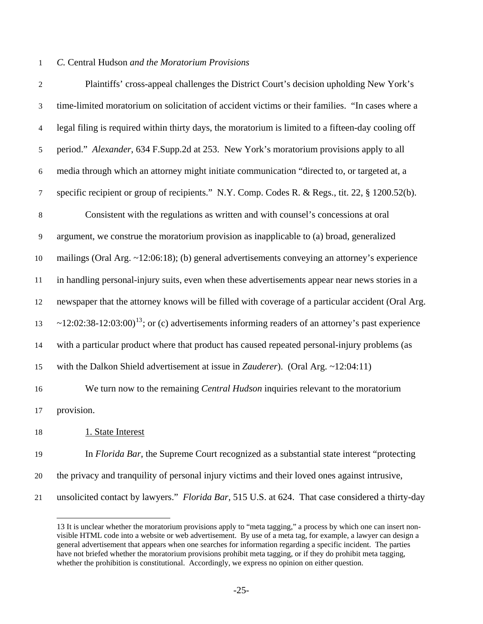# 1 *C.* Central Hudson *and the Moratorium Provisions*

| $\sqrt{2}$ | Plaintiffs' cross-appeal challenges the District Court's decision upholding New York's                       |
|------------|--------------------------------------------------------------------------------------------------------------|
| 3          | time-limited moratorium on solicitation of accident victims or their families. "In cases where a             |
| 4          | legal filing is required within thirty days, the moratorium is limited to a fifteen-day cooling off          |
| 5          | period." Alexander, 634 F.Supp.2d at 253. New York's moratorium provisions apply to all                      |
| $\sqrt{6}$ | media through which an attorney might initiate communication "directed to, or targeted at, a                 |
| 7          | specific recipient or group of recipients." N.Y. Comp. Codes R. & Regs., tit. 22, § 1200.52(b).              |
| $\,8\,$    | Consistent with the regulations as written and with counsel's concessions at oral                            |
| 9          | argument, we construe the moratorium provision as inapplicable to (a) broad, generalized                     |
| 10         | mailings (Oral Arg. $\sim$ 12:06:18); (b) general advertisements conveying an attorney's experience          |
| 11         | in handling personal-injury suits, even when these advertisements appear near news stories in a              |
| 12         | newspaper that the attorney knows will be filled with coverage of a particular accident (Oral Arg.           |
| 13         | ~12:02:38-12:03:00) <sup>13</sup> ; or (c) advertisements informing readers of an attorney's past experience |
| 14         | with a particular product where that product has caused repeated personal-injury problems (as                |
| 15         | with the Dalkon Shield advertisement at issue in Zauderer). (Oral Arg. ~12:04:11)                            |
| 16         | We turn now to the remaining <i>Central Hudson</i> inquiries relevant to the moratorium                      |
| 17         | provision.                                                                                                   |
| 18         | 1. State Interest                                                                                            |
| 19         | In Florida Bar, the Supreme Court recognized as a substantial state interest "protecting                     |
| 20         | the privacy and tranquility of personal injury victims and their loved ones against intrusive,               |

<span id="page-24-0"></span>21 unsolicited contact by lawyers." *Florida Bar*, 515 U.S. at 624. That case considered a thirty-day

-

<sup>13</sup> It is unclear whether the moratorium provisions apply to "meta tagging," a process by which one can insert nonvisible HTML code into a website or web advertisement. By use of a meta tag, for example, a lawyer can design a general advertisement that appears when one searches for information regarding a specific incident. The parties have not briefed whether the moratorium provisions prohibit meta tagging, or if they do prohibit meta tagging, whether the prohibition is constitutional. Accordingly, we express no opinion on either question.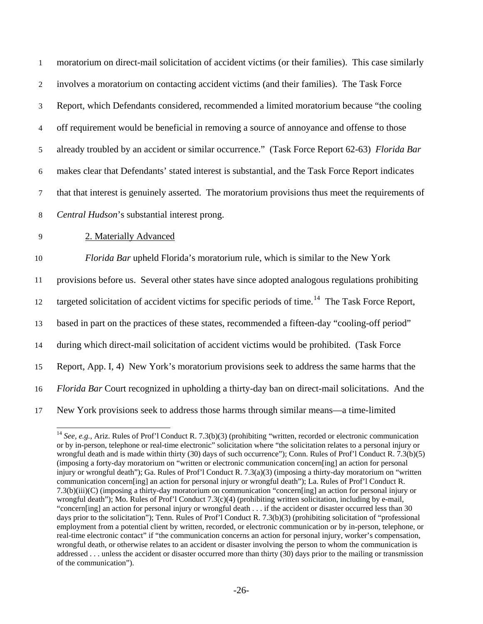moratorium on direct-mail solicitation of accident victims (or their families). This case similarly involves a moratorium on contacting accident victims (and their families). The Task Force Report, which Defendants considered, recommended a limited moratorium because "the cooling off requirement would be beneficial in removing a source of annoyance and offense to those already troubled by an accident or similar occurrence." (Task Force Report 62-63) *Florida Bar* makes clear that Defendants' stated interest is substantial, and the Task Force Report indicates that that interest is genuinely asserted. The moratorium provisions thus meet the requirements of *Central Hudson*'s substantial interest prong. 1 2 3 4 5 6 7 8 9 2. Materially Advanced 10 11 12 13 14 15 16 17 *Florida Bar* upheld Florida's moratorium rule, which is similar to the New York provisions before us. Several other states have since adopted analogous regulations prohibiting targeted solicitation of accident victims for specific periods of time.<sup>[14](#page-25-0)</sup> The Task Force Report, based in part on the practices of these states, recommended a fifteen-day "cooling-off period" during which direct-mail solicitation of accident victims would be prohibited. (Task Force Report, App. I, 4) New York's moratorium provisions seek to address the same harms that the *Florida Bar* Court recognized in upholding a thirty-day ban on direct-mail solicitations. And the New York provisions seek to address those harms through similar means—a time-limited

-

<span id="page-25-0"></span><sup>&</sup>lt;sup>14</sup> *See, e.g.*, Ariz. Rules of Prof'l Conduct R. 7.3(b)(3) (prohibiting "written, recorded or electronic communication or by in-person, telephone or real-time electronic" solicitation where "the solicitation relates to a personal injury or wrongful death and is made within thirty (30) days of such occurrence"); Conn. Rules of Prof'l Conduct R. 7.3(b)(5) (imposing a forty-day moratorium on "written or electronic communication concern[ing] an action for personal injury or wrongful death"); Ga. Rules of Prof'l Conduct R. 7.3(a)(3) (imposing a thirty-day moratorium on "written communication concern[ing] an action for personal injury or wrongful death"); La. Rules of Prof'l Conduct R. 7.3(b)(iii)(C) (imposing a thirty-day moratorium on communication "concern[ing] an action for personal injury or wrongful death"); Mo. Rules of Prof'l Conduct 7.3(c)(4) (prohibiting written solicitation, including by e-mail, "concern[ing] an action for personal injury or wrongful death . . . if the accident or disaster occurred less than 30 days prior to the solicitation"); Tenn. Rules of Prof'l Conduct R. 7.3(b)(3) (prohibiting solicitation of "professional employment from a potential client by written, recorded, or electronic communication or by in-person, telephone, or real-time electronic contact" if "the communication concerns an action for personal injury, worker's compensation, wrongful death, or otherwise relates to an accident or disaster involving the person to whom the communication is addressed . . . unless the accident or disaster occurred more than thirty (30) days prior to the mailing or transmission of the communication").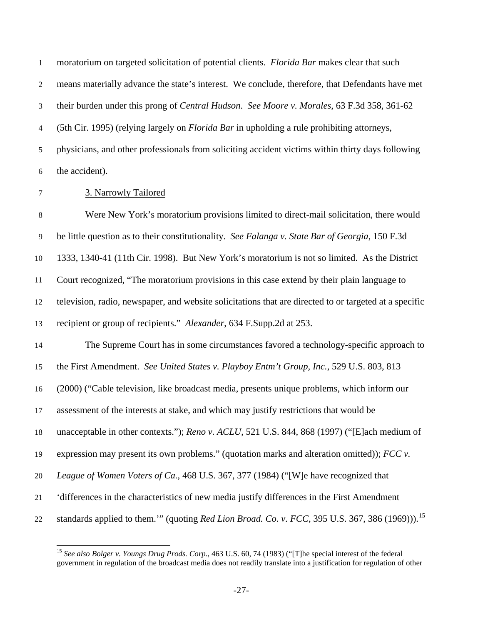moratorium on targeted solicitation of potential clients. *Florida Bar* makes clear that such means materially advance the state's interest. We conclude, therefore, that Defendants have met their burden under this prong of *Central Hudson*. *See Moore v. Morales*, 63 F.3d 358, 361-62 (5th Cir. 1995) (relying largely on *Florida Bar* in upholding a rule prohibiting attorneys, physicians, and other professionals from soliciting accident victims within thirty days following the accident). 1 2 3 4 5 6

-

#### 7 3. Narrowly Tailored

8 9 10 11 12 13 14 15 16 17 18 19 20 21 22 Were New York's moratorium provisions limited to direct-mail solicitation, there would be little question as to their constitutionality. *See Falanga v. State Bar of Georgia*, 150 F.3d 1333, 1340-41 (11th Cir. 1998). But New York's moratorium is not so limited. As the District Court recognized, "The moratorium provisions in this case extend by their plain language to television, radio, newspaper, and website solicitations that are directed to or targeted at a specific recipient or group of recipients." *Alexander*, 634 F.Supp.2d at 253. The Supreme Court has in some circumstances favored a technology-specific approach to the First Amendment. *See United States v. Playboy Entm't Group, Inc.*, 529 U.S. 803, 813 (2000) ("Cable television, like broadcast media, presents unique problems, which inform our assessment of the interests at stake, and which may justify restrictions that would be unacceptable in other contexts."); *Reno v. ACLU*, 521 U.S. 844, 868 (1997) ("[E]ach medium of expression may present its own problems." (quotation marks and alteration omitted)); *FCC v. League of Women Voters of Ca.*, 468 U.S. 367, 377 (1984) ("[W]e have recognized that 'differences in the characteristics of new media justify differences in the First Amendment standards applied to them."" (quoting *Red Lion Broad. Co. v. FCC*, 395 U.S. 367, 386 (1969))).<sup>[15](#page-26-0)</sup>

<span id="page-26-0"></span><sup>15</sup> *See also Bolger v. Youngs Drug Prods. Corp.*, 463 U.S. 60, 74 (1983) ("[T]he special interest of the federal government in regulation of the broadcast media does not readily translate into a justification for regulation of other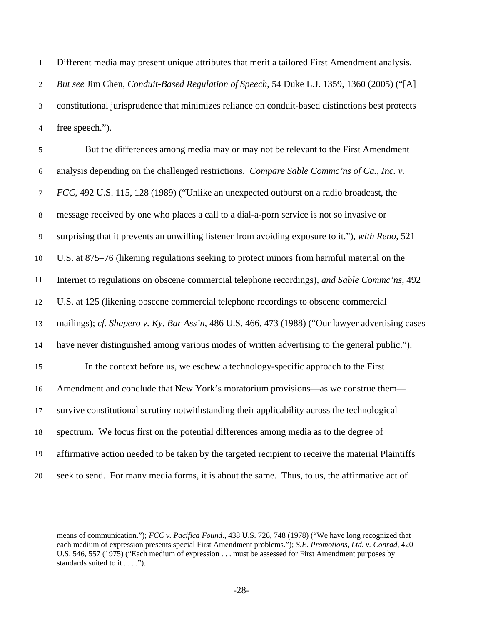Different media may present unique attributes that merit a tailored First Amendment analysis. *But see* Jim Chen, *Conduit-Based Regulation of Speech*, 54 Duke L.J. 1359, 1360 (2005) ("[A] constitutional jurisprudence that minimizes reliance on conduit-based distinctions best protects free speech."). 1 2 3 4

| $\mathfrak{S}$ | But the differences among media may or may not be relevant to the First Amendment                  |
|----------------|----------------------------------------------------------------------------------------------------|
| $6\,$          | analysis depending on the challenged restrictions. Compare Sable Commc'ns of Ca., Inc. v.          |
| $\tau$         | FCC, 492 U.S. 115, 128 (1989) ("Unlike an unexpected outburst on a radio broadcast, the            |
| $8\,$          | message received by one who places a call to a dial-a-porn service is not so invasive or           |
| 9              | surprising that it prevents an unwilling listener from avoiding exposure to it."), with Reno, 521  |
| 10             | U.S. at 875–76 (likening regulations seeking to protect minors from harmful material on the        |
| 11             | Internet to regulations on obscene commercial telephone recordings), and Sable Commc'ns, 492       |
| 12             | U.S. at 125 (likening obscene commercial telephone recordings to obscene commercial                |
| 13             | mailings); cf. Shapero v. Ky. Bar Ass'n, 486 U.S. 466, 473 (1988) ("Our lawyer advertising cases   |
| 14             | have never distinguished among various modes of written advertising to the general public.").      |
| 15             | In the context before us, we eschew a technology-specific approach to the First                    |
| 16             | Amendment and conclude that New York's moratorium provisions—as we construe them—                  |
| 17             | survive constitutional scrutiny notwithstanding their applicability across the technological       |
| 18             | spectrum. We focus first on the potential differences among media as to the degree of              |
| 19             | affirmative action needed to be taken by the targeted recipient to receive the material Plaintiffs |
| 20             | seek to send. For many media forms, it is about the same. Thus, to us, the affirmative act of      |

-

means of communication."); *FCC v. Pacifica Found*., 438 U.S. 726, 748 (1978) ("We have long recognized that each medium of expression presents special First Amendment problems."); *S.E. Promotions, Ltd. v. Conrad*, 420 U.S. 546, 557 (1975) ("Each medium of expression . . . must be assessed for First Amendment purposes by standards suited to it . . . .").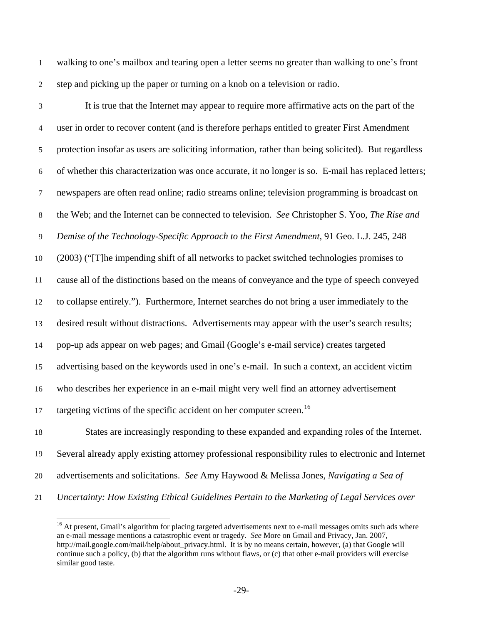walking to one's mailbox and tearing open a letter seems no greater than walking to one's front step and picking up the paper or turning on a knob on a television or radio. 1 2

-

3 4 5 6 7 8 9 10 11 12 13 14 15 16 17 18 It is true that the Internet may appear to require more affirmative acts on the part of the user in order to recover content (and is therefore perhaps entitled to greater First Amendment protection insofar as users are soliciting information, rather than being solicited). But regardless of whether this characterization was once accurate, it no longer is so. E-mail has replaced letters; newspapers are often read online; radio streams online; television programming is broadcast on the Web; and the Internet can be connected to television. *See* Christopher S. Yoo, *The Rise and Demise of the Technology-Specific Approach to the First Amendment*, 91 Geo. L.J. 245, 248 (2003) ("[T]he impending shift of all networks to packet switched technologies promises to cause all of the distinctions based on the means of conveyance and the type of speech conveyed to collapse entirely."). Furthermore, Internet searches do not bring a user immediately to the desired result without distractions. Advertisements may appear with the user's search results; pop-up ads appear on web pages; and Gmail (Google's e-mail service) creates targeted advertising based on the keywords used in one's e-mail. In such a context, an accident victim who describes her experience in an e-mail might very well find an attorney advertisement targeting victims of the specific accident on her computer screen.<sup>[16](#page-28-0)</sup> States are increasingly responding to these expanded and expanding roles of the Internet.

19 Several already apply existing attorney professional responsibility rules to electronic and Internet

- 20 advertisements and solicitations. *See* Amy Haywood & Melissa Jones, *Navigating a Sea of*
- <span id="page-28-0"></span>21 *Uncertainty: How Existing Ethical Guidelines Pertain to the Marketing of Legal Services over*

<sup>&</sup>lt;sup>16</sup> At present, Gmail's algorithm for placing targeted advertisements next to e-mail messages omits such ads where an e-mail message mentions a catastrophic event or tragedy. *See* More on Gmail and Privacy, Jan. 2007, http://mail.google.com/mail/help/about\_privacy.html. It is by no means certain, however, (a) that Google will continue such a policy, (b) that the algorithm runs without flaws, or (c) that other e-mail providers will exercise similar good taste.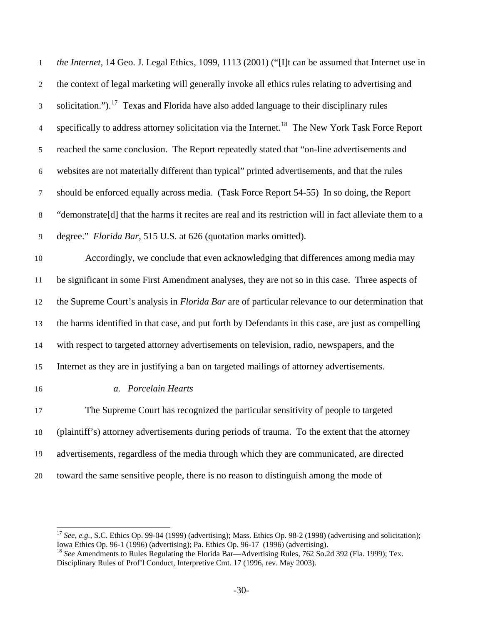| $\mathbf{1}$     | the Internet, 14 Geo. J. Legal Ethics, 1099, 1113 (2001) ("[I]t can be assumed that Internet use in          |
|------------------|--------------------------------------------------------------------------------------------------------------|
| $\overline{2}$   | the context of legal marketing will generally invoke all ethics rules relating to advertising and            |
| 3                | solicitation."). <sup>17</sup> Texas and Florida have also added language to their disciplinary rules        |
| $\overline{4}$   | specifically to address attorney solicitation via the Internet. <sup>18</sup> The New York Task Force Report |
| 5                | reached the same conclusion. The Report repeatedly stated that "on-line advertisements and                   |
| $\boldsymbol{6}$ | websites are not materially different than typical" printed advertisements, and that the rules               |
| $\tau$           | should be enforced equally across media. (Task Force Report 54-55) In so doing, the Report                   |
| $8\,$            | "demonstrate[d] that the harms it recites are real and its restriction will in fact alleviate them to a      |
| 9                | degree." Florida Bar, 515 U.S. at 626 (quotation marks omitted).                                             |
| $10\,$           | Accordingly, we conclude that even acknowledging that differences among media may                            |
| 11               | be significant in some First Amendment analyses, they are not so in this case. Three aspects of              |
| 12               | the Supreme Court's analysis in Florida Bar are of particular relevance to our determination that            |
| 13               | the harms identified in that case, and put forth by Defendants in this case, are just as compelling          |
| 14               | with respect to targeted attorney advertisements on television, radio, newspapers, and the                   |
| 15               | Internet as they are in justifying a ban on targeted mailings of attorney advertisements.                    |
| 16               | a. Porcelain Hearts                                                                                          |
| 17               | The Supreme Court has recognized the particular sensitivity of people to targeted                            |
| 18               | (plaintiff's) attorney advertisements during periods of trauma. To the extent that the attorney              |
| 19               | advertisements, regardless of the media through which they are communicated, are directed                    |
| 20               | toward the same sensitive people, there is no reason to distinguish among the mode of                        |
|                  |                                                                                                              |

-

<span id="page-29-0"></span><sup>&</sup>lt;sup>17</sup> *See, e.g.*, S.C. Ethics Op. 99-04 (1999) (advertising); Mass. Ethics Op. 98-2 (1998) (advertising and solicitation); Iowa Ethics Op. 96-1 (1996) (advertising); Pa. Ethics Op. 96-17 (1996) (advertising).

<span id="page-29-1"></span><sup>&</sup>lt;sup>18</sup> See Amendments to Rules Regulating the Florida Bar—Advertising Rules, 762 So.2d 392 (Fla. 1999); Tex. Disciplinary Rules of Prof'l Conduct, Interpretive Cmt. 17 (1996, rev. May 2003).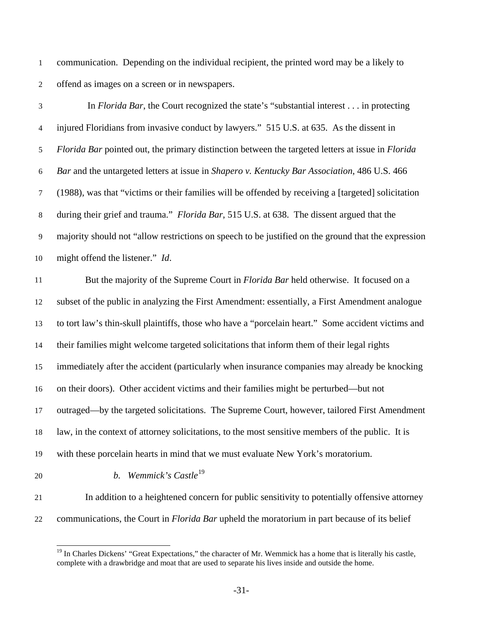communication. Depending on the individual recipient, the printed word may be a likely to offend as images on a screen or in newspapers. 1 2

3 4 5 6 7 8 9 10 In *Florida Bar*, the Court recognized the state's "substantial interest . . . in protecting injured Floridians from invasive conduct by lawyers." 515 U.S. at 635. As the dissent in *Florida Bar* pointed out, the primary distinction between the targeted letters at issue in *Florida Bar* and the untargeted letters at issue in *Shapero v. Kentucky Bar Association*, 486 U.S. 466 (1988), was that "victims or their families will be offended by receiving a [targeted] solicitation during their grief and trauma." *Florida Bar*, 515 U.S. at 638. The dissent argued that the majority should not "allow restrictions on speech to be justified on the ground that the expression might offend the listener." *Id*.

11 12 13 14 15 16 17 18 19 But the majority of the Supreme Court in *Florida Bar* held otherwise. It focused on a subset of the public in analyzing the First Amendment: essentially, a First Amendment analogue to tort law's thin-skull plaintiffs, those who have a "porcelain heart." Some accident victims and their families might welcome targeted solicitations that inform them of their legal rights immediately after the accident (particularly when insurance companies may already be knocking on their doors). Other accident victims and their families might be perturbed—but not outraged—by the targeted solicitations. The Supreme Court, however, tailored First Amendment law, in the context of attorney solicitations, to the most sensitive members of the public. It is with these porcelain hearts in mind that we must evaluate New York's moratorium.

20

*b. Wemmick's Castle*[19](#page-30-0)

21

<span id="page-30-0"></span>22

-

 In addition to a heightened concern for public sensitivity to potentially offensive attorney communications, the Court in *Florida Bar* upheld the moratorium in part because of its belief

<sup>&</sup>lt;sup>19</sup> In Charles Dickens' "Great Expectations," the character of Mr. Wemmick has a home that is literally his castle, complete with a drawbridge and moat that are used to separate his lives inside and outside the home.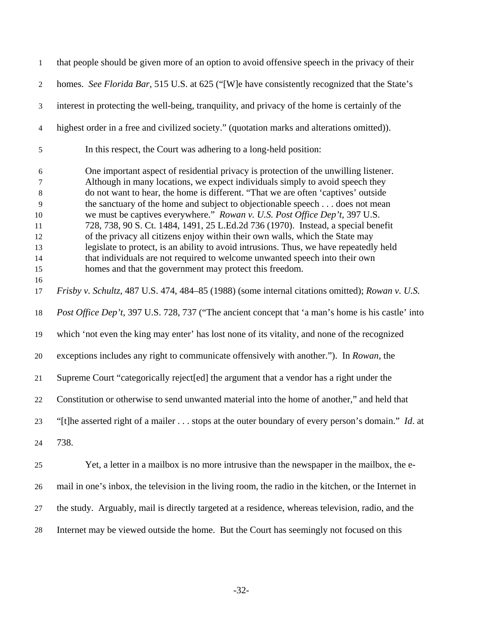| $\mathbf{1}$                                                     | that people should be given more of an option to avoid offensive speech in the privacy of their                                                                                                                                                                                                                                                                                                                                                                                                                                                                                                                                                                                                                                                                                                                                   |
|------------------------------------------------------------------|-----------------------------------------------------------------------------------------------------------------------------------------------------------------------------------------------------------------------------------------------------------------------------------------------------------------------------------------------------------------------------------------------------------------------------------------------------------------------------------------------------------------------------------------------------------------------------------------------------------------------------------------------------------------------------------------------------------------------------------------------------------------------------------------------------------------------------------|
| $\overline{2}$                                                   | homes. See Florida Bar, 515 U.S. at 625 ("[W]e have consistently recognized that the State's                                                                                                                                                                                                                                                                                                                                                                                                                                                                                                                                                                                                                                                                                                                                      |
| $\mathfrak{Z}$                                                   | interest in protecting the well-being, tranquility, and privacy of the home is certainly of the                                                                                                                                                                                                                                                                                                                                                                                                                                                                                                                                                                                                                                                                                                                                   |
| $\overline{4}$                                                   | highest order in a free and civilized society." (quotation marks and alterations omitted)).                                                                                                                                                                                                                                                                                                                                                                                                                                                                                                                                                                                                                                                                                                                                       |
| $\sqrt{5}$                                                       | In this respect, the Court was adhering to a long-held position:                                                                                                                                                                                                                                                                                                                                                                                                                                                                                                                                                                                                                                                                                                                                                                  |
| 6<br>7<br>$\,8\,$<br>9<br>10<br>11<br>12<br>13<br>14<br>15<br>16 | One important aspect of residential privacy is protection of the unwilling listener.<br>Although in many locations, we expect individuals simply to avoid speech they<br>do not want to hear, the home is different. "That we are often 'captives' outside<br>the sanctuary of the home and subject to objectionable speech does not mean<br>we must be captives everywhere." Rowan v. U.S. Post Office Dep't, 397 U.S.<br>728, 738, 90 S. Ct. 1484, 1491, 25 L.Ed.2d 736 (1970). Instead, a special benefit<br>of the privacy all citizens enjoy within their own walls, which the State may<br>legislate to protect, is an ability to avoid intrusions. Thus, we have repeatedly held<br>that individuals are not required to welcome unwanted speech into their own<br>homes and that the government may protect this freedom. |
| 17                                                               | Frisby v. Schultz, 487 U.S. 474, 484-85 (1988) (some internal citations omitted); Rowan v. U.S.                                                                                                                                                                                                                                                                                                                                                                                                                                                                                                                                                                                                                                                                                                                                   |
| 18                                                               | Post Office Dep't, 397 U.S. 728, 737 ("The ancient concept that 'a man's home is his castle' into                                                                                                                                                                                                                                                                                                                                                                                                                                                                                                                                                                                                                                                                                                                                 |
| 19                                                               | which 'not even the king may enter' has lost none of its vitality, and none of the recognized                                                                                                                                                                                                                                                                                                                                                                                                                                                                                                                                                                                                                                                                                                                                     |
| 20                                                               | exceptions includes any right to communicate offensively with another."). In Rowan, the                                                                                                                                                                                                                                                                                                                                                                                                                                                                                                                                                                                                                                                                                                                                           |
| 21                                                               | Supreme Court "categorically reject[ed] the argument that a vendor has a right under the                                                                                                                                                                                                                                                                                                                                                                                                                                                                                                                                                                                                                                                                                                                                          |
| 22                                                               | Constitution or otherwise to send unwanted material into the home of another," and held that                                                                                                                                                                                                                                                                                                                                                                                                                                                                                                                                                                                                                                                                                                                                      |
| 23                                                               | "[t]he asserted right of a mailer stops at the outer boundary of every person's domain." <i>Id.</i> at                                                                                                                                                                                                                                                                                                                                                                                                                                                                                                                                                                                                                                                                                                                            |
| 24                                                               | 738.                                                                                                                                                                                                                                                                                                                                                                                                                                                                                                                                                                                                                                                                                                                                                                                                                              |
| 25                                                               | Yet, a letter in a mailbox is no more intrusive than the newspaper in the mailbox, the e-                                                                                                                                                                                                                                                                                                                                                                                                                                                                                                                                                                                                                                                                                                                                         |
| 26                                                               | mail in one's inbox, the television in the living room, the radio in the kitchen, or the Internet in                                                                                                                                                                                                                                                                                                                                                                                                                                                                                                                                                                                                                                                                                                                              |
| 27                                                               | the study. Arguably, mail is directly targeted at a residence, whereas television, radio, and the                                                                                                                                                                                                                                                                                                                                                                                                                                                                                                                                                                                                                                                                                                                                 |
| 28                                                               | Internet may be viewed outside the home. But the Court has seemingly not focused on this                                                                                                                                                                                                                                                                                                                                                                                                                                                                                                                                                                                                                                                                                                                                          |

-32-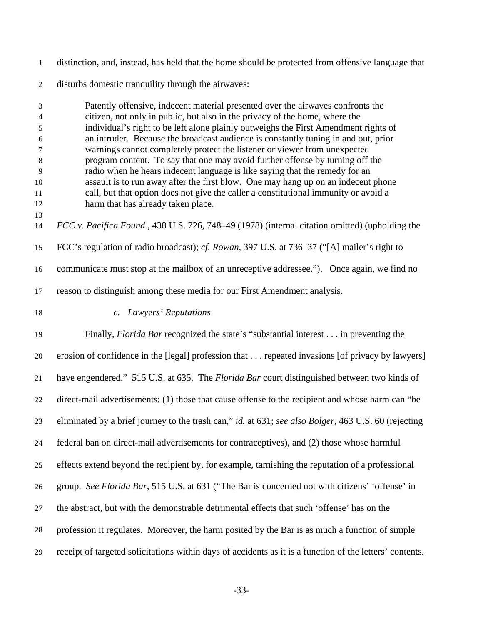| $\mathbf{1}$   | distinction, and, instead, has held that the home should be protected from offensive language that                                                                       |
|----------------|--------------------------------------------------------------------------------------------------------------------------------------------------------------------------|
| $\mathbf{2}$   | disturbs domestic tranquility through the airwaves:                                                                                                                      |
| 3              | Patently offensive, indecent material presented over the airwaves confronts the                                                                                          |
| 4              | citizen, not only in public, but also in the privacy of the home, where the                                                                                              |
| 5              | individual's right to be left alone plainly outweighs the First Amendment rights of                                                                                      |
| 6              | an intruder. Because the broadcast audience is constantly tuning in and out, prior                                                                                       |
| 7              | warnings cannot completely protect the listener or viewer from unexpected                                                                                                |
| $\,8\,$        | program content. To say that one may avoid further offense by turning off the                                                                                            |
| $\overline{9}$ | radio when he hears indecent language is like saying that the remedy for an                                                                                              |
| 10<br>11       | assault is to run away after the first blow. One may hang up on an indecent phone<br>call, but that option does not give the caller a constitutional immunity or avoid a |
| 12             | harm that has already taken place.                                                                                                                                       |
| 13             |                                                                                                                                                                          |
| 14             | FCC v. Pacifica Found., 438 U.S. 726, 748–49 (1978) (internal citation omitted) (upholding the                                                                           |
| 15             | FCC's regulation of radio broadcast); cf. Rowan, 397 U.S. at 736–37 ("[A] mailer's right to                                                                              |
| 16             | communicate must stop at the mailbox of an unreceptive addressee."). Once again, we find no                                                                              |
| 17             | reason to distinguish among these media for our First Amendment analysis.                                                                                                |
| 18             | c. Lawyers' Reputations                                                                                                                                                  |
| 19             | Finally, <i>Florida Bar</i> recognized the state's "substantial interest in preventing the                                                                               |
| 20             | erosion of confidence in the [legal] profession that  repeated invasions [of privacy by lawyers]                                                                         |
| 21             | have engendered." 515 U.S. at 635. The <i>Florida Bar</i> court distinguished between two kinds of                                                                       |
| 22             | direct-mail advertisements: (1) those that cause offense to the recipient and whose harm can "be                                                                         |
| 23             | eliminated by a brief journey to the trash can," id. at 631; see also Bolger, 463 U.S. 60 (rejecting                                                                     |
| 24             | federal ban on direct-mail advertisements for contraceptives), and (2) those whose harmful                                                                               |
| 25             | effects extend beyond the recipient by, for example, tarnishing the reputation of a professional                                                                         |
| 26             | group. See Florida Bar, 515 U.S. at 631 ("The Bar is concerned not with citizens' 'offense' in                                                                           |
| 27             | the abstract, but with the demonstrable detrimental effects that such 'offense' has on the                                                                               |
| 28             | profession it regulates. Moreover, the harm posited by the Bar is as much a function of simple                                                                           |
| 29             | receipt of targeted solicitations within days of accidents as it is a function of the letters' contents.                                                                 |

-33-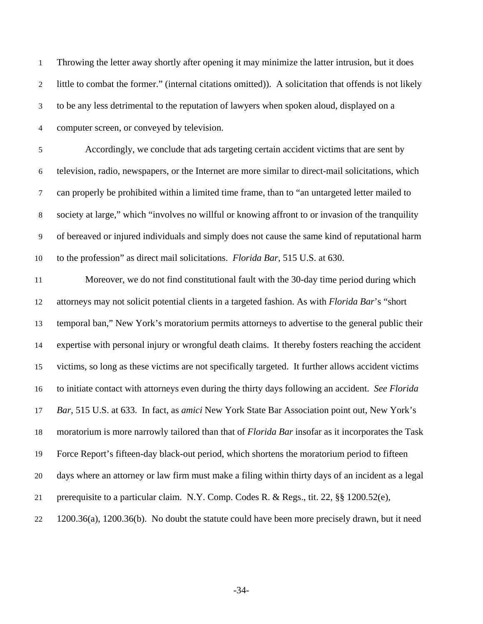Throwing the letter away shortly after opening it may minimize the latter intrusion, but it does little to combat the former." (internal citations omitted)). A solicitation that offends is not likely to be any less detrimental to the reputation of lawyers when spoken aloud, displayed on a computer screen, or conveyed by television. 1 2 3 4

5 6 7 8 9 10 Accordingly, we conclude that ads targeting certain accident victims that are sent by television, radio, newspapers, or the Internet are more similar to direct-mail solicitations, which can properly be prohibited within a limited time frame, than to "an untargeted letter mailed to society at large," which "involves no willful or knowing affront to or invasion of the tranquility of bereaved or injured individuals and simply does not cause the same kind of reputational harm to the profession" as direct mail solicitations. *Florida Bar,* 515 U.S. at 630.

11 12 13 14 15 16 17 18 19 20 21 22 Moreover, we do not find constitutional fault with the 30-day time period during which attorneys may not solicit potential clients in a targeted fashion. As with *Florida Bar*'s "short temporal ban," New York's moratorium permits attorneys to advertise to the general public their expertise with personal injury or wrongful death claims. It thereby fosters reaching the accident victims, so long as these victims are not specifically targeted. It further allows accident victims to initiate contact with attorneys even during the thirty days following an accident. *See Florida Bar*, 515 U.S. at 633. In fact, as *amici* New York State Bar Association point out, New York's moratorium is more narrowly tailored than that of *Florida Bar* insofar as it incorporates the Task Force Report's fifteen-day black-out period, which shortens the moratorium period to fifteen days where an attorney or law firm must make a filing within thirty days of an incident as a legal prerequisite to a particular claim. N.Y. Comp. Codes R. & Regs., tit. 22, §§ 1200.52(e), 1200.36(a), 1200.36(b). No doubt the statute could have been more precisely drawn, but it need

-34-